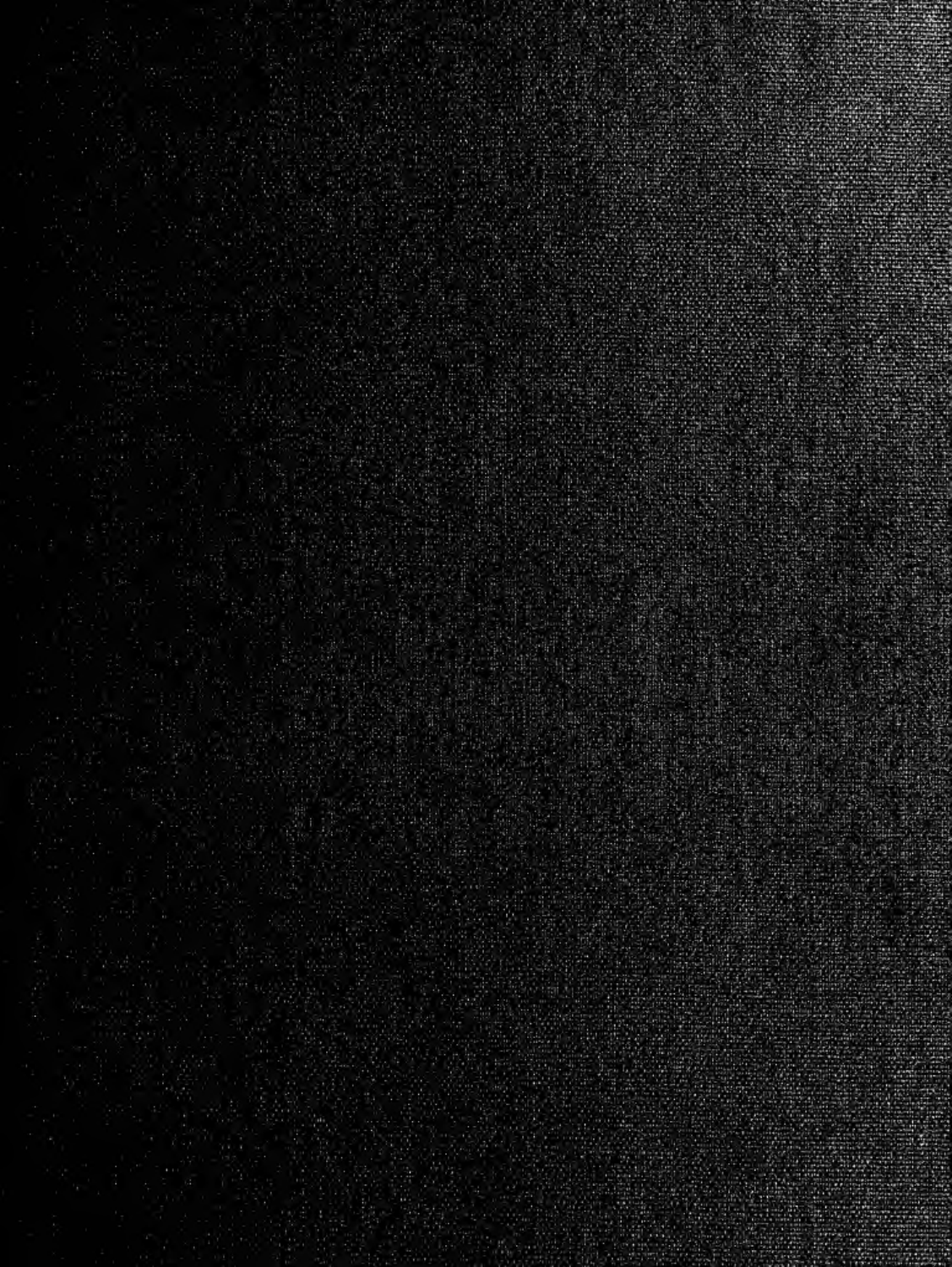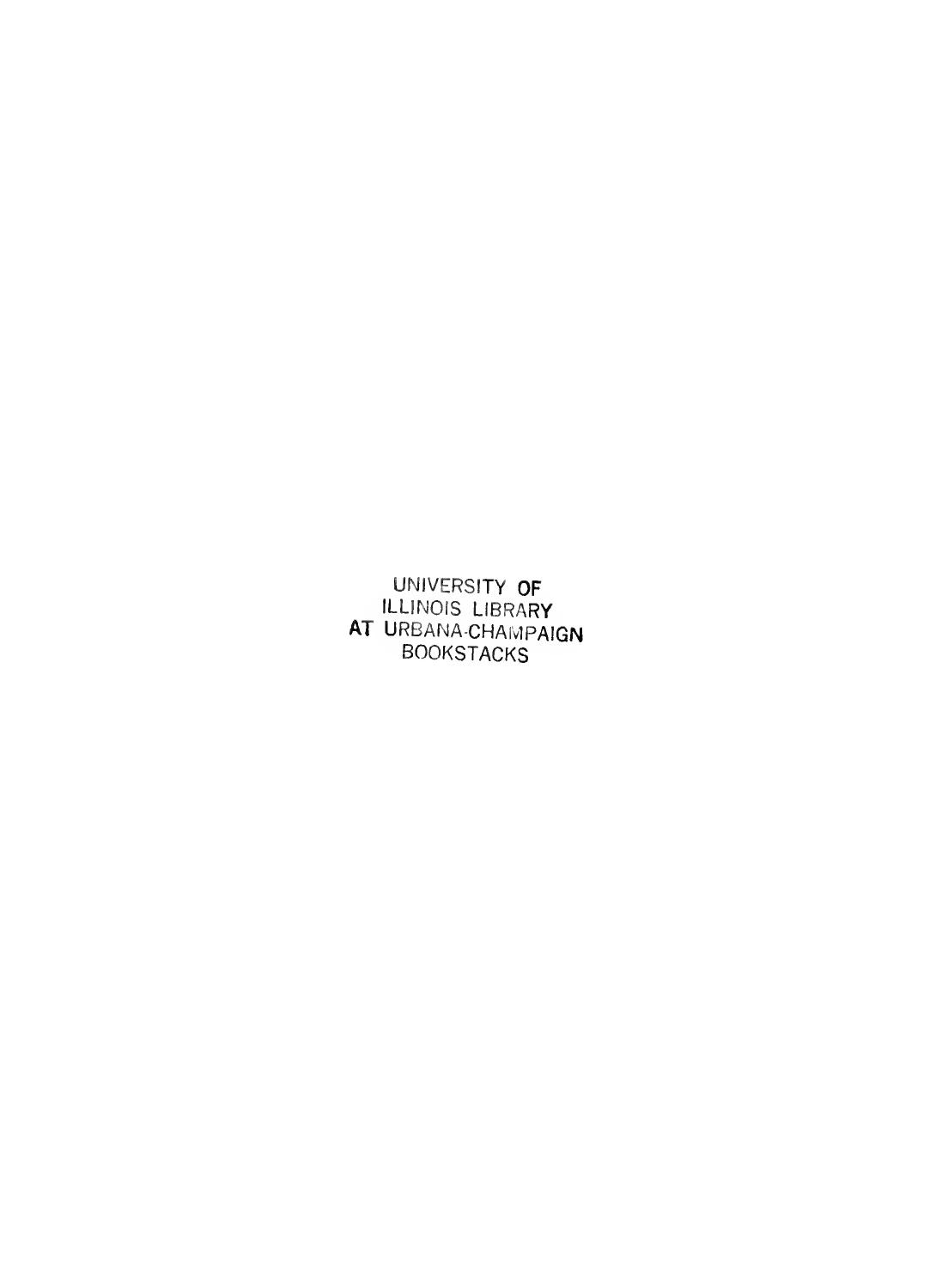UNIVERSITY OF ILLINOIS LIBRARY AT URBANA-CHAMPAIGN **BOOKSTACKS**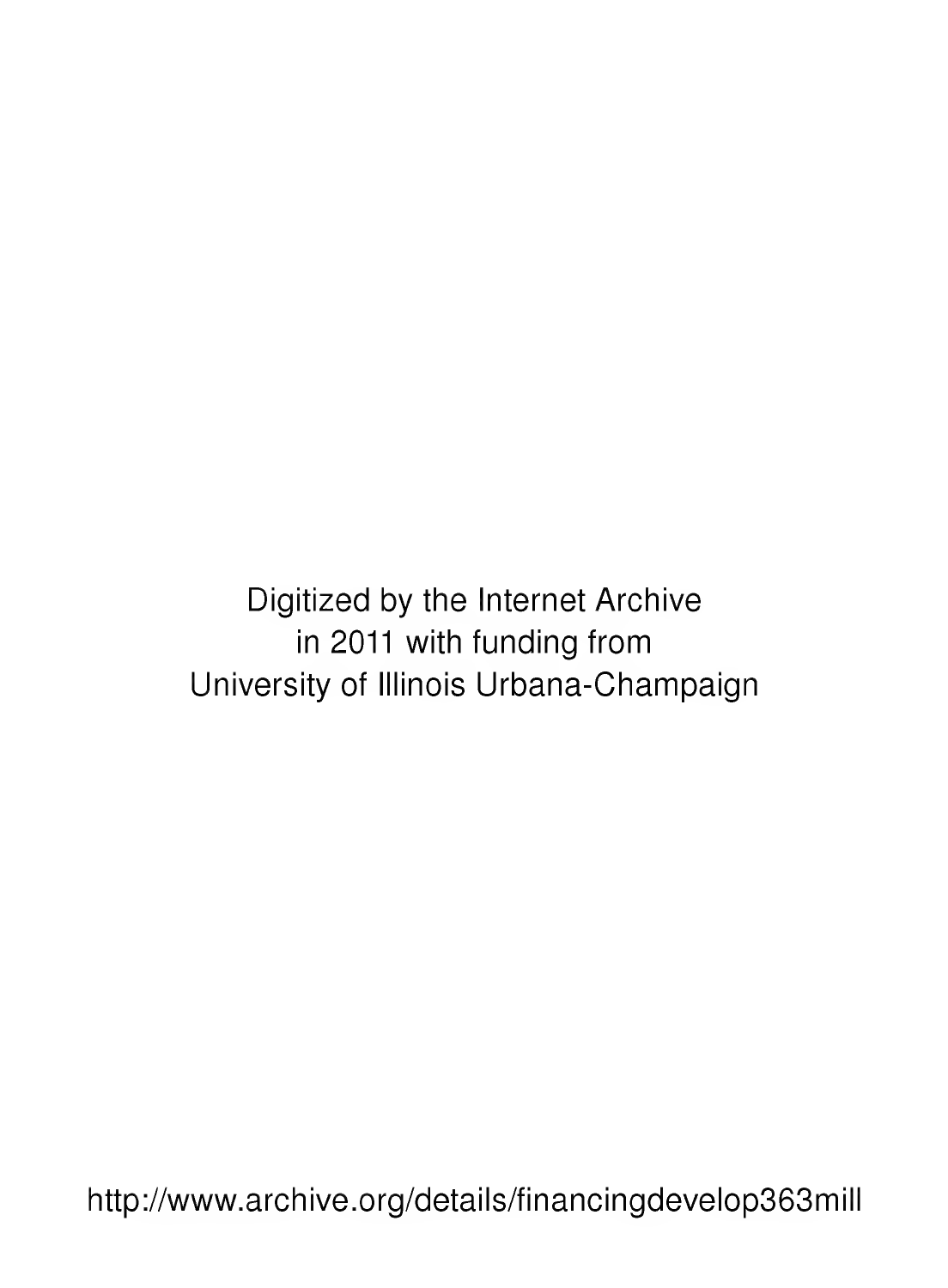Digitized by the Internet Archive in 2011 with funding from University of Illinois Urbana-Champaign

http://www.archive.org/details/financingdevelop363mill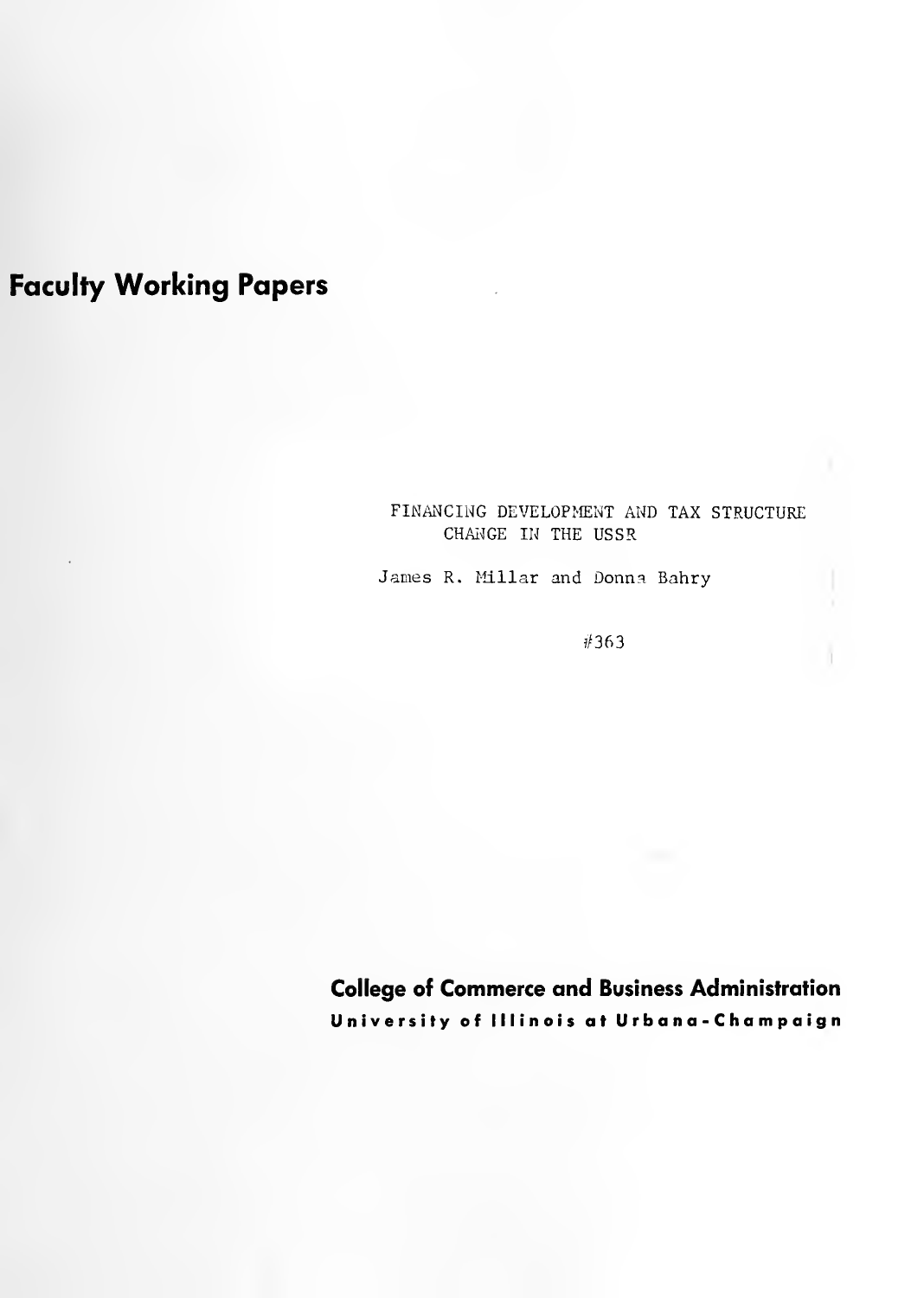Faculty Working Papers

## FINANCING DEVELOPMENT AND TAX STRUCTURE CHANGE IN THE USSR

James R. Millar and Donna Bahry

#363

College of Commerce and Business Administration University of Illinois at Urbana-Champaign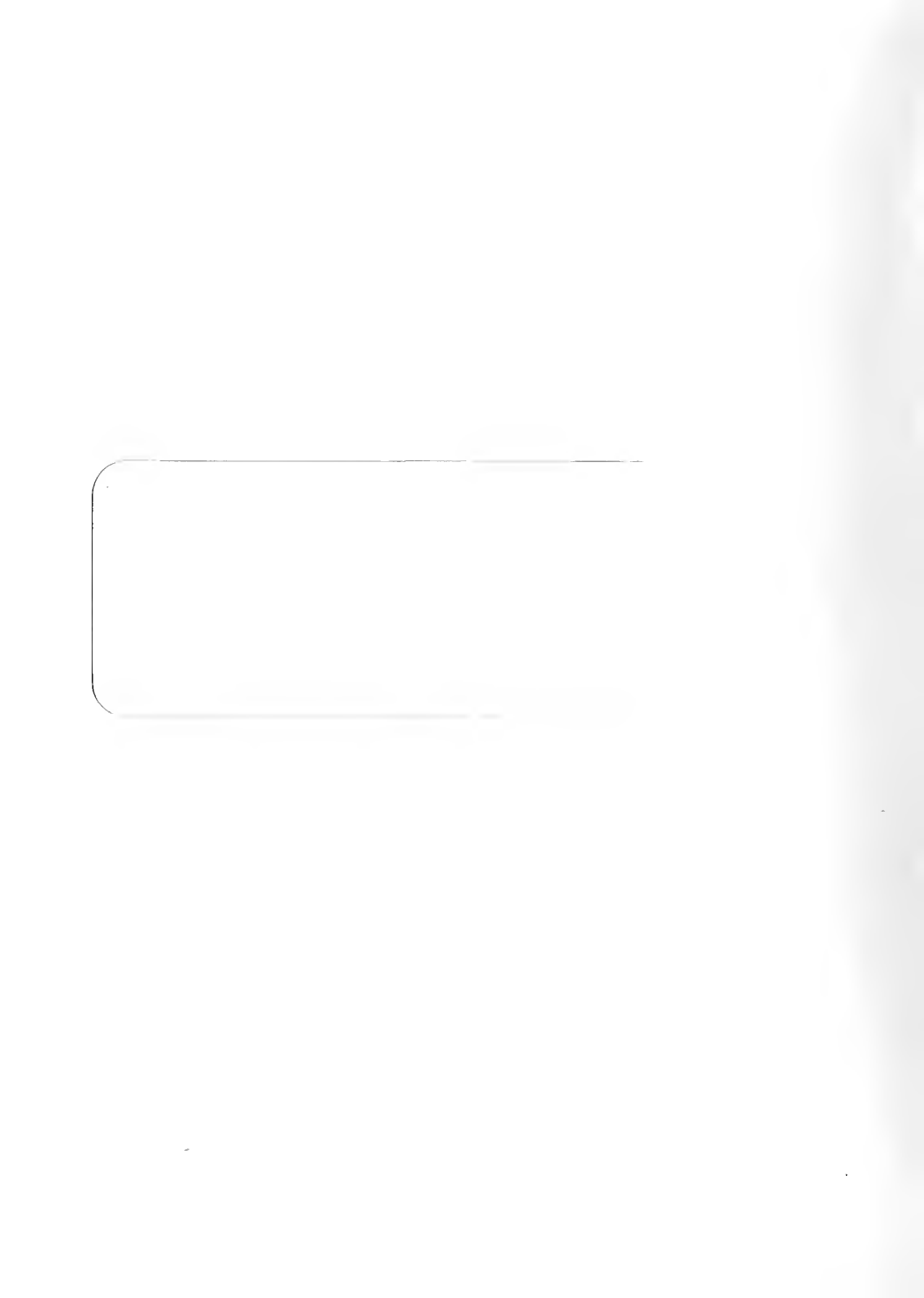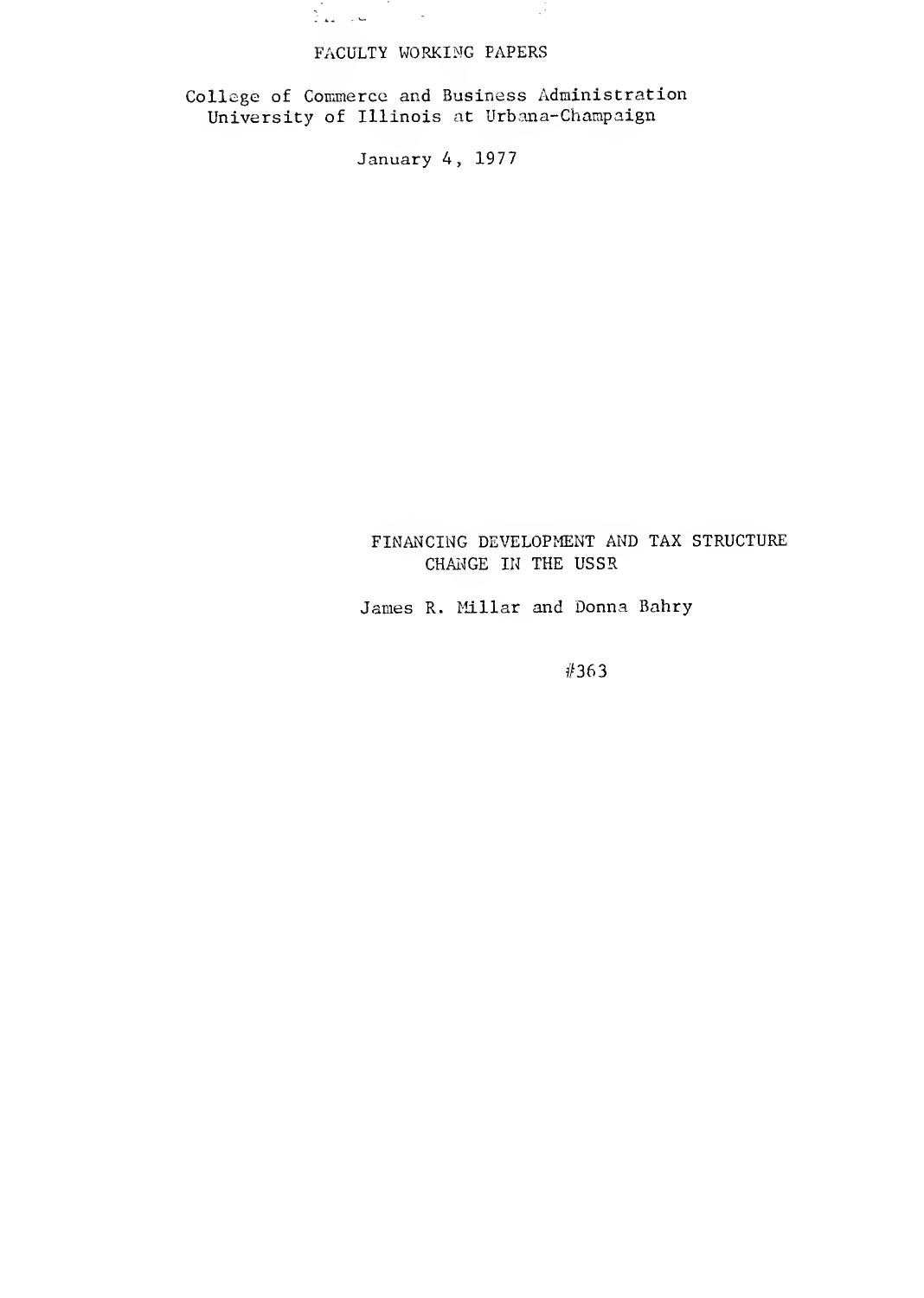# FACULTY WORKING PAPERS

 $\sim 10^{11}$  and  $\sim 10^{11}$ 

Alban (1995)

College of Commerce and Business Administration University of Illinois at Urbana-Champaign

January 4, 1977

# FINANCING DEVELOPMENT AND TAX STRUCTURE CHANGE IN THE USSR

James R. Millar and Donna Bahry

#363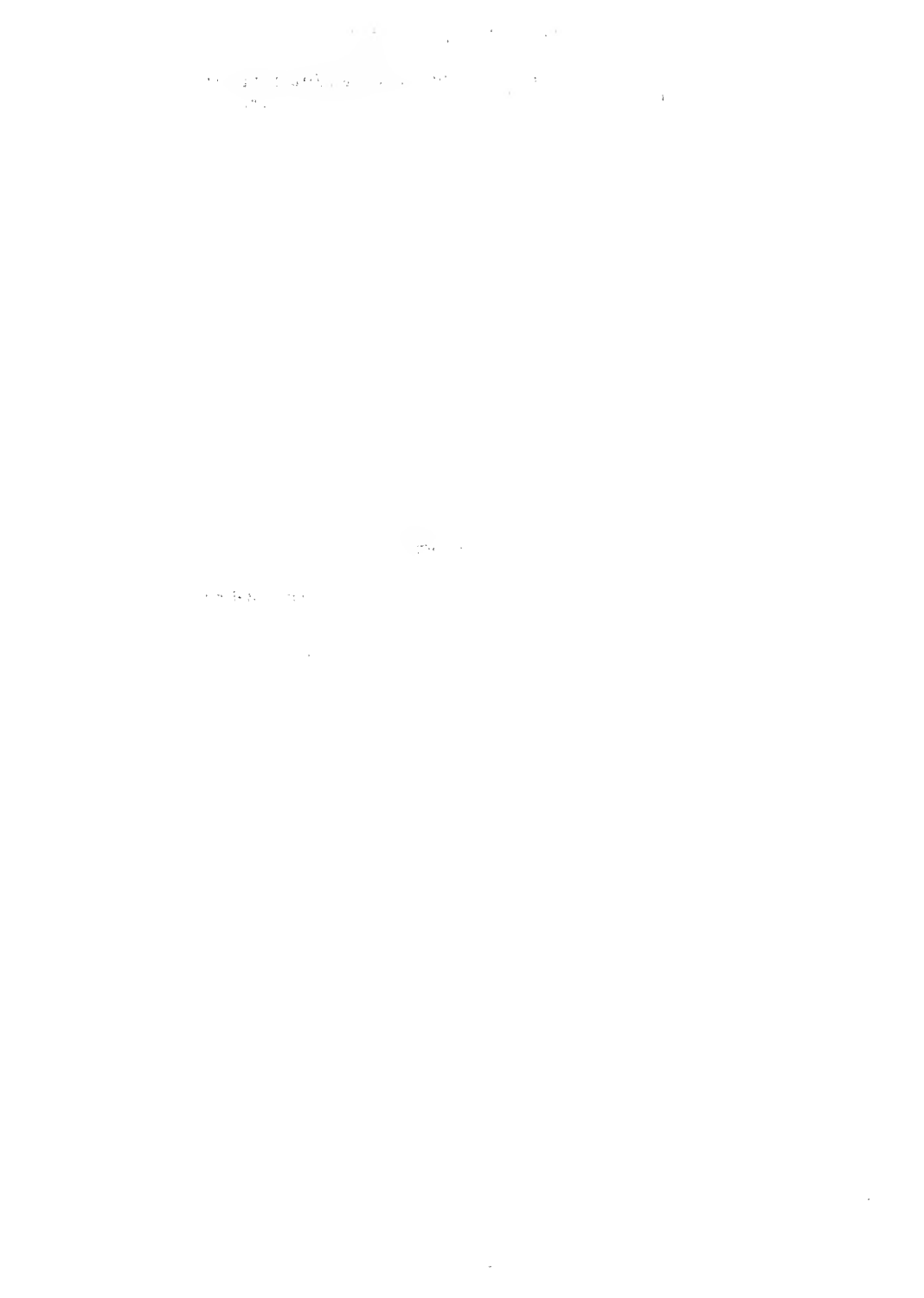$\label{eq:2.1} \frac{2\pi}{\pi} \left[ \frac{1}{2} \frac{2\pi}{\pi} \left( \frac{1}{2} \left( 2\pi \frac{4\pi^2}{\pi} \right) \sqrt{2} \right) \right] \left( \sqrt{2} \right) \left( \sqrt{2} \left( 2\pi \frac{1}{\pi} \right) \right) \left( \sqrt{2} \left( 2\pi \frac{1}{\pi} \right) \right) \left( \sqrt{2} \pi \frac{1}{\pi} \right) \left( \sqrt{2} \pi \frac{1}{\pi} \right) \left( \sqrt{2} \pi \frac{1}{\pi} \right) \left( \sqrt{$ 

 $\label{eq:2.1} \frac{1}{\sqrt{2\pi}}\sum_{i=1}^n\frac{1}{\sqrt{2\pi}}\sum_{i=1}^n\frac{1}{\sqrt{2\pi}}\sum_{i=1}^n\frac{1}{\sqrt{2\pi}}\sum_{i=1}^n\frac{1}{\sqrt{2\pi}}\sum_{i=1}^n\frac{1}{\sqrt{2\pi}}\sum_{i=1}^n\frac{1}{\sqrt{2\pi}}\sum_{i=1}^n\frac{1}{\sqrt{2\pi}}\sum_{i=1}^n\frac{1}{\sqrt{2\pi}}\sum_{i=1}^n\frac{1}{\sqrt{2\pi}}\sum_{i=1}^n\$ 

# $\mathcal{L}^{\text{max}}_{\text{max}}$  is the field of the field of  $\mathcal{L}^{\text{max}}_{\text{max}}$

 $\label{eq:2.1} \mathcal{L}(\mathcal{L}^{\text{max}}_{\mathcal{L}}(\mathcal{L}^{\text{max}}_{\mathcal{L}}))\leq \mathcal{L}(\mathcal{L}^{\text{max}}_{\mathcal{L}}(\mathcal{L}^{\text{max}}_{\mathcal{L}}))$ 

 $\mathcal{L}^{\text{max}}_{\text{max}}$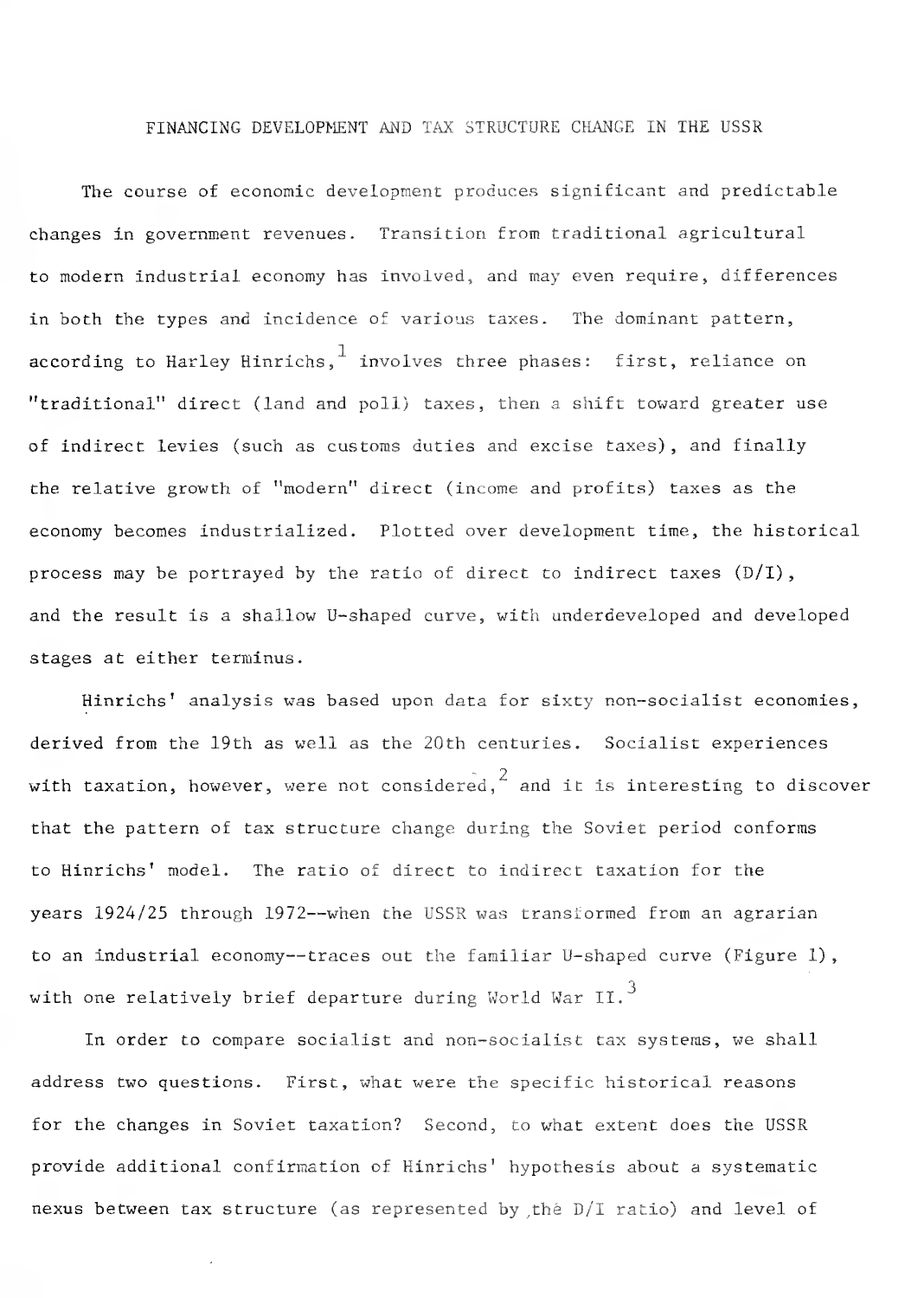### FINANCING DEVELOPMENT AND TAX STRUCTURE CHANGE IN THE USSR

The course of economic development produces significant and predictable changes in government revenues. Transition from traditional agricultural to modern industrial economy has involved, and may even require, differences in both the types and incidence of various taxes. The dominant pattern, according to Harley Hinrichs,  $1$  involves three phases: first, reliance on "traditional" direct (land and poll) taxes, then a shift toward greater use of indirect levies (such as customs duties and excise taxes) , and finally the relative growth of "modern" direct (income and profits) taxes as the economy becomes industrialized. Plotted over development time, the historical process may be portrayed by the ratio of direct to indirect taxes  $(D/I)$ , and the result is a shallow U-shaped curve, with underdeveloped and developed stages at either terminus.

Hinrichs' analysis was based upon data for sixty non-socialist economies, derived from the 19th as well as the 20th centuries. Socialist experiences with taxation, however, were not considered,  $^2$  and it is interesting to discover that the pattern of tax structure change during the Soviet period conforms to Hinrichs' model. The ratio of direct to indirect taxation for the years 1924/25 through <sup>1972</sup>—when the USSR was transformed from an agrarian to an industrial economy--traces out the familiar U-shaped curve (Figure 1), with one relatively brief departure during World War II.  $3$ 

In order to compare socialist and non-socialist tax systems, we shall address two questions. First, what were the specific historical reasons for the changes in Soviet taxation? Second, to what extent does the USSR provide additional confirmation of Hinrichs' hypothesis about a systematic nexus between tax structure (as represented by ,the D/l ratio) and level of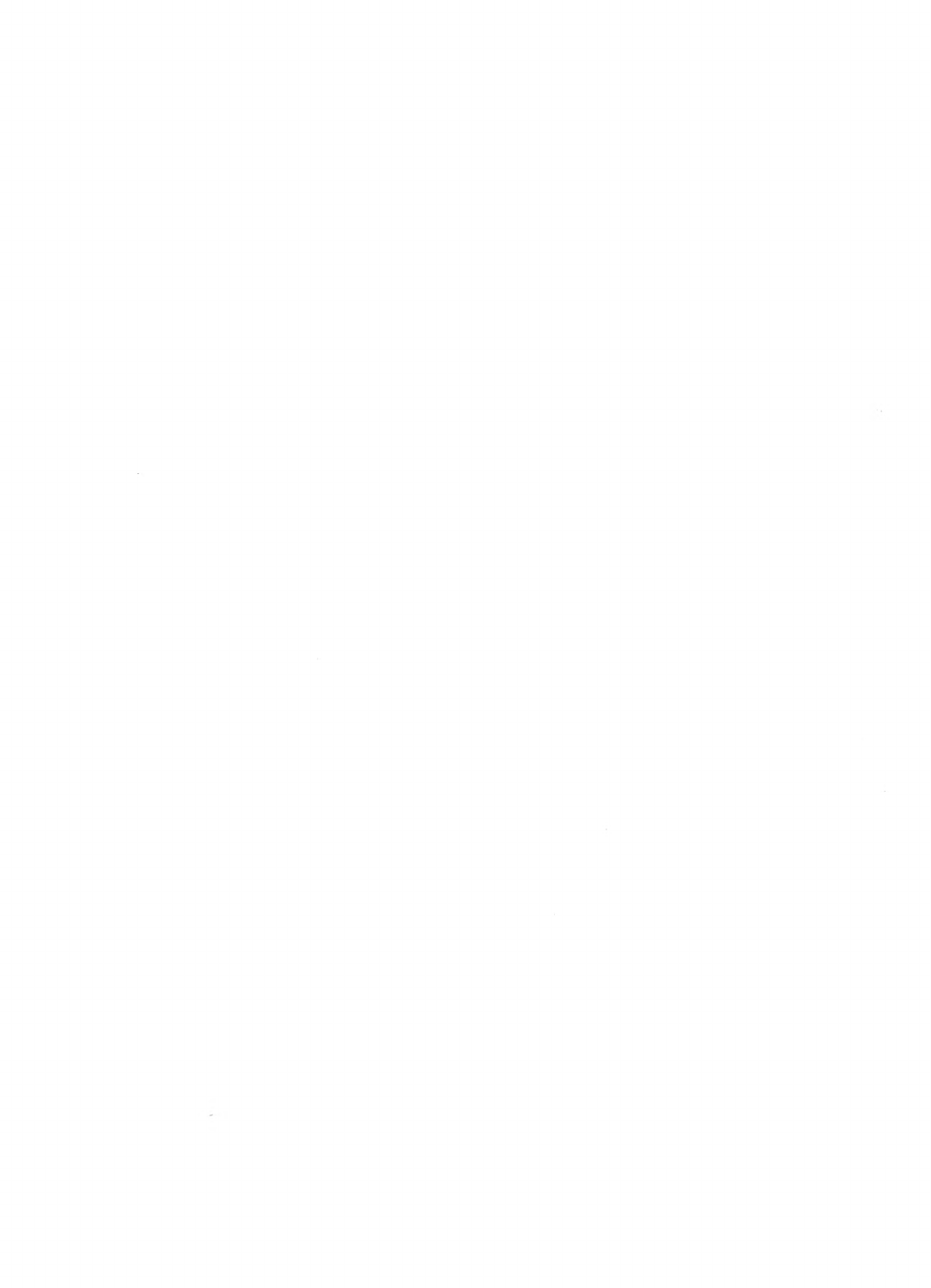$\label{eq:2.1} \mathcal{L}=\frac{1}{2}\mathcal{L}(\mathcal{L})\mathcal{L}(\mathcal{L})$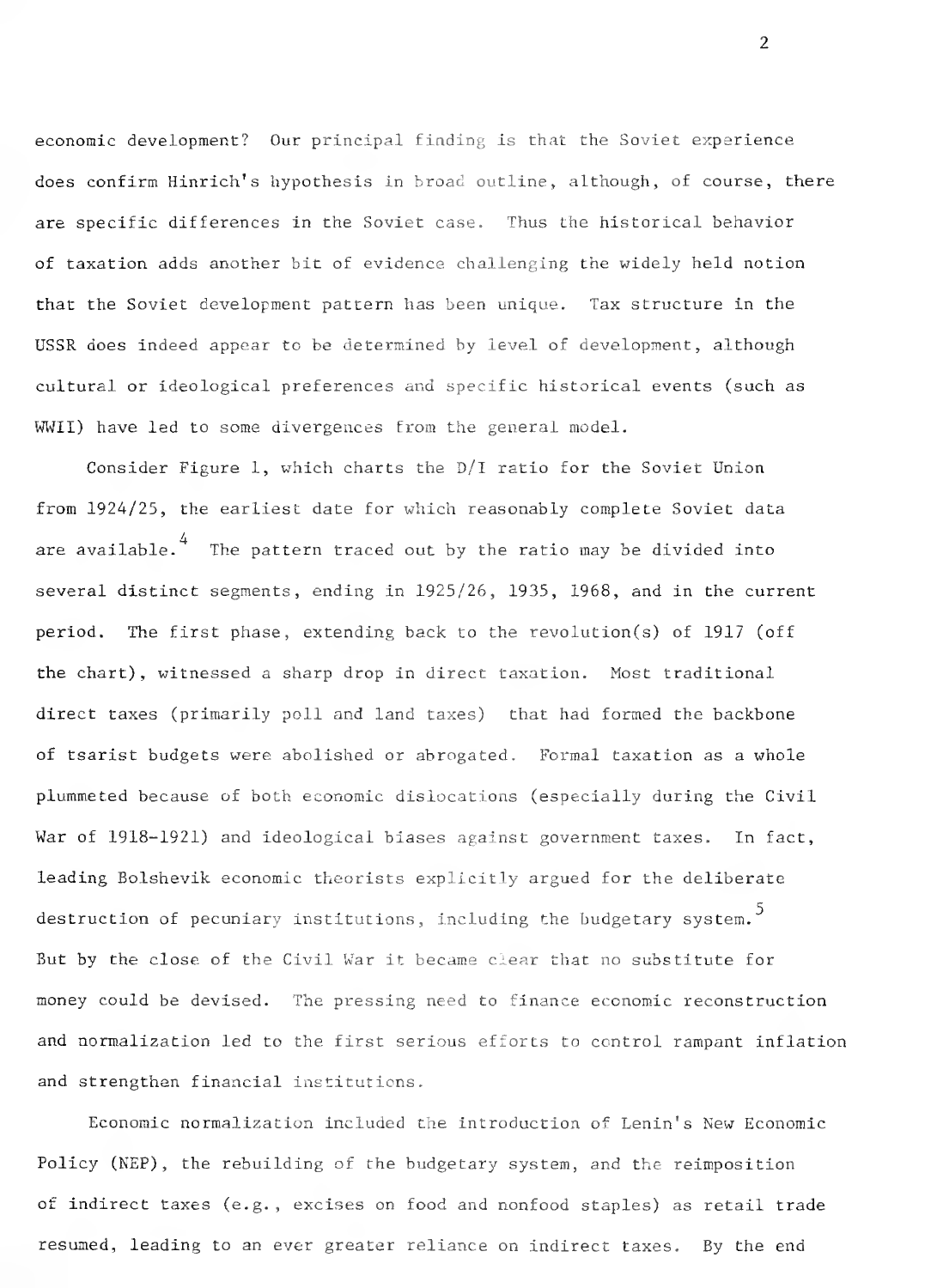economic development? Our principal finding is that the Soviet experience does confirm Hinrich's hypothesis in broad outline, although, of course, there are specific differences in the Soviet case. Thus the historical behavior of taxation adds another bit of evidence challenging the widely held notion that the Soviet development pattern has been unique. Tax structure in the USSR does indeed appear to be determined by level of development, although cultural or ideological preferences and specific historical events (such as WWII) have led to some divergences from the general model.

Consider Figure 1, which charts the  $D/I$  ratio for the Soviet Union from 1924/25, the earliest date for which reasonably complete Soviet data are available.<sup>4</sup> The pattern traced out by the ratio may be divided into several distinct segments, ending in 1925/26, 1935, 1968, and in the current period. The first phase, extending back to the revolution(s) of 1917 (off the chart) , witnessed a sharp drop in direct taxation. Most traditional direct taxes (primarily poll and land taxes) that had formed the backbone of tsarist budgets were abolished or abrogated. Formal taxation as a whole plummeted because of both economic dislocations (especially during the Civil War of 1918-1921) and ideological biases against government taxes. In fact, leading Bolshevik economic theorists explicitly argued for the deliberate destruction of pecuniary institutions, including the budgetary system.<sup>5</sup> But by the close of the Civil War it became clear that no substitute for money could be devised. The pressing need to finance economic reconstruction and normalization led to the first serious efforts to control rampant inflation and strengthen financial institutions.

Economic normalization included the introduction of Lenin's New Economic Policy (NEP) , the rebuilding of the budgetary system, and the reimposition of indirect taxes (e.g., excises on food and nonfood staples) as retail trade resumed, leading to an ever greater reliance on indirect taxes. By the end

 $\overline{2}$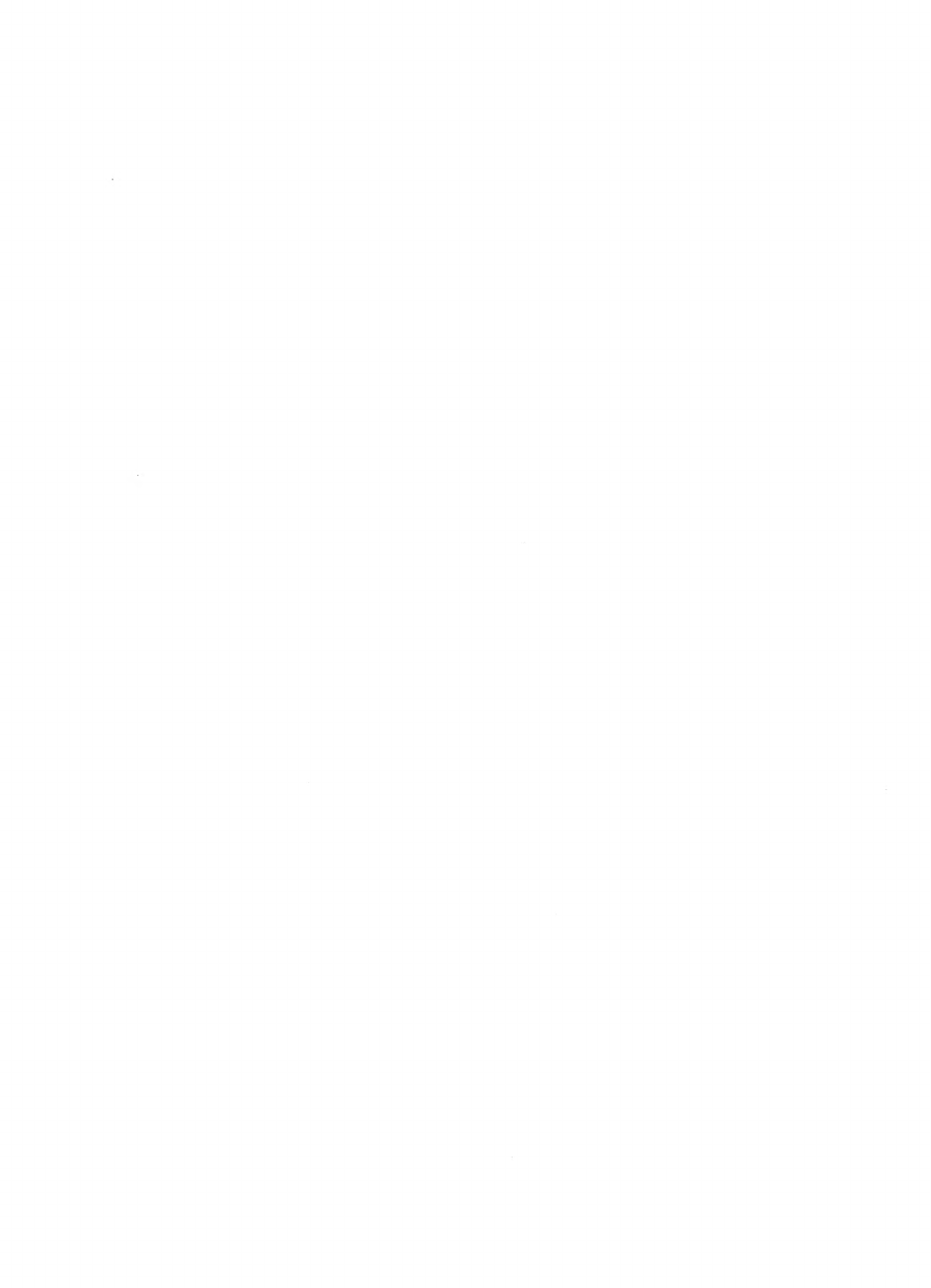$\label{eq:2.1} \frac{\partial}{\partial t} \frac{\partial}{\partial t} = \frac{1}{\partial t} \frac{\partial}{\partial x} \frac{\partial}{\partial x} + \frac{\partial}{\partial x} \frac{\partial}{\partial x} \frac{\partial}{\partial x} + \frac{\partial}{\partial x} \frac{\partial}{\partial x} \frac{\partial}{\partial x} + \frac{\partial}{\partial x} \frac{\partial}{\partial x} \frac{\partial}{\partial x} + \frac{\partial}{\partial x} \frac{\partial}{\partial x} \frac{\partial}{\partial x} + \frac{\partial}{\partial x} \frac{\partial}{\partial x} \frac{\partial}{\partial x} + \frac{\partial}{\partial x} \frac{\partial}{\partial x} \frac{\partial}{\$ 

 $\label{eq:2.1} \Delta \sigma = \frac{1}{2} \sum_{i=1}^n \frac{1}{2} \sum_{j=1}^n \frac{1}{2} \sum_{j=1}^n \frac{1}{2} \sum_{j=1}^n \frac{1}{2} \sum_{j=1}^n \frac{1}{2} \sum_{j=1}^n \frac{1}{2} \sum_{j=1}^n \frac{1}{2} \sum_{j=1}^n \frac{1}{2} \sum_{j=1}^n \frac{1}{2} \sum_{j=1}^n \frac{1}{2} \sum_{j=1}^n \frac{1}{2} \sum_{j=1}^n \frac{1}{2} \sum_{j=1}$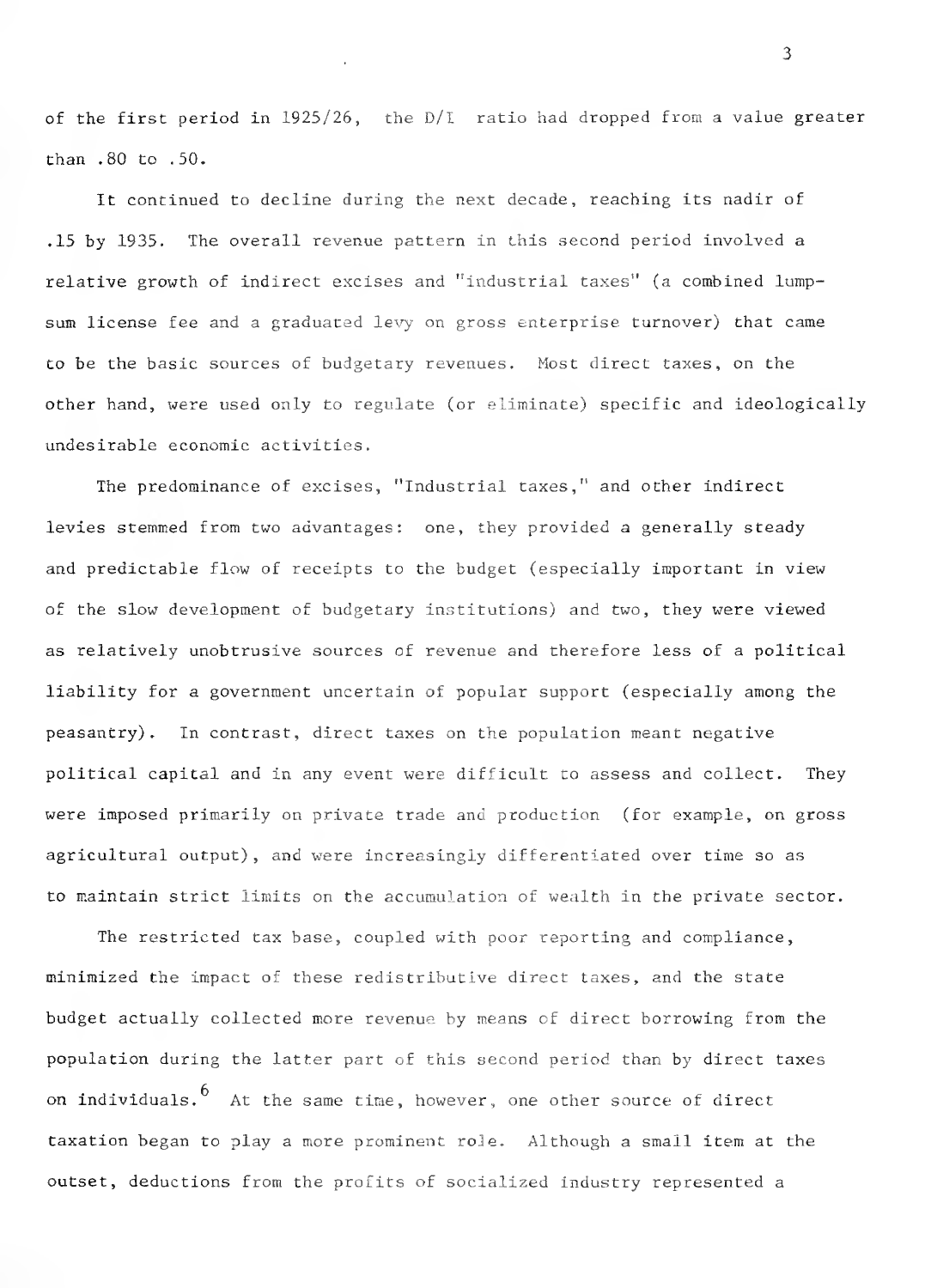of the first period in  $1925/26$ , the  $D/L$  ratio had dropped from a value greater than .80 to .50.

It continued to decline during the next decade, reaching its nadir of .15 by 1935. The overall revenue pattern in this second period involved a relative growth of indirect excises and "industrial taxes" (a combined lampsum license fee and a graduated levy on gross enterprise turnover) that came to be the basic sources of budgetary revenues. Most direct taxes, on the other hand, were used only to regulate (or eliminate) specific and ideologically undesirable economic activities.

The predominance of excises, "Industrial taxes," and other indirect levies stemmed from two advantages: one, they provided a generally steady and predictable flow of receipts to the budget (especially important in view of the slow development of budgetary institutions) and two, they were viewed as relatively unobtrusive sources of revenue and therefore less of a political liability for a government uncertain of popular support (especially among the peasantry). In contrast, direct taxes on the population meant negative political capital and in any event were difficult to assess and collect. They were imposed primarily on private trade and production (for example, on gross agricultural output) , and were increasingly differentiated over time so as to maintain strict limits on the accumulation of wealth in the private sector.

The restricted tax base, coupled with poor reporting and compliance, minimized the impact of these redistributlve direct taxes, and the state budget actually collected more revenue by means of direct borrowing from the population during the latter part of this second period than by direct taxes on individuals.<sup>6</sup> At the same time, however, one other source of direct taxation began to play a more prominent role. Although a small item at the outset, deductions from the profits of socialized industry represented a

 $\overline{3}$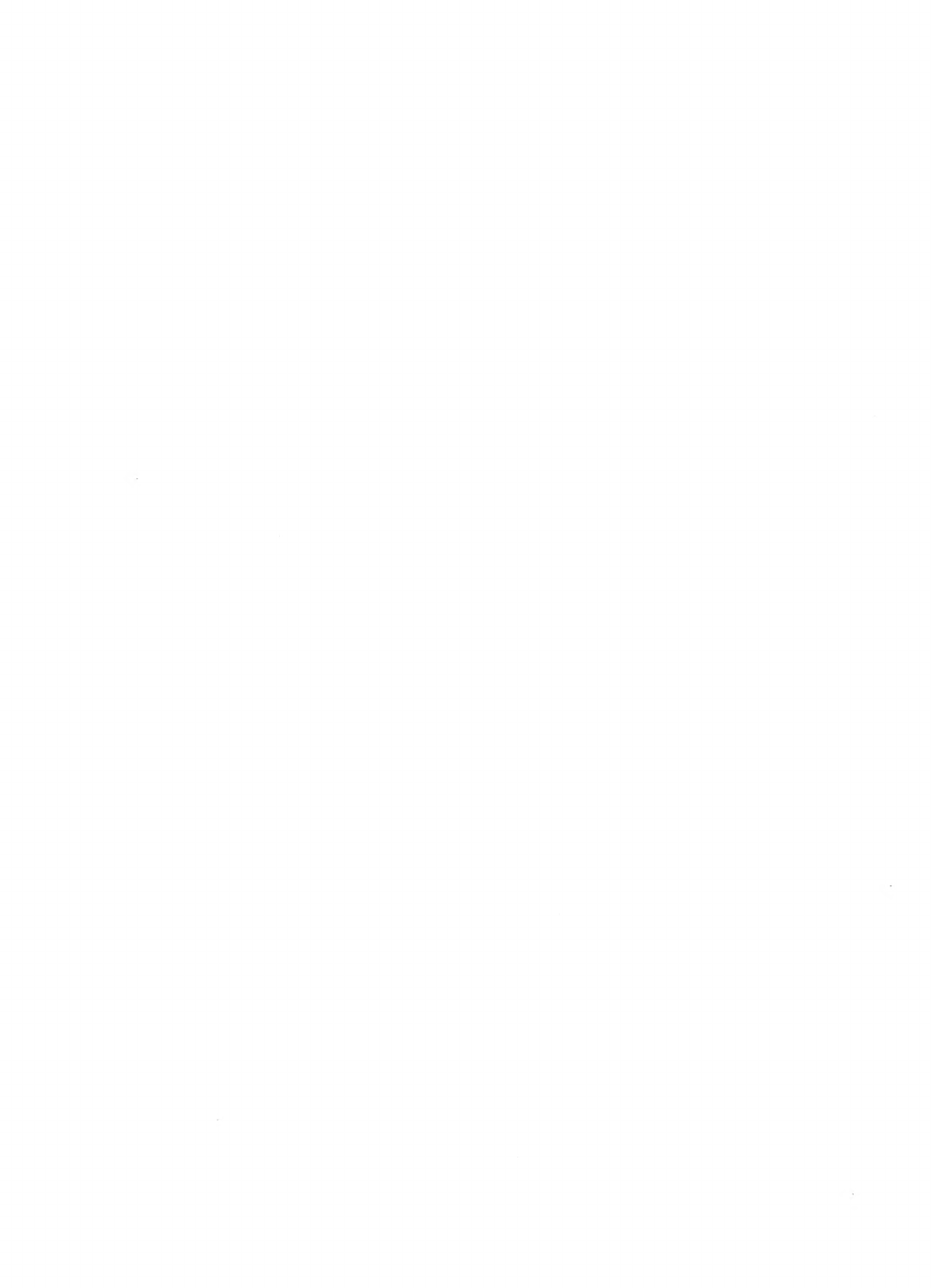$\sim 6$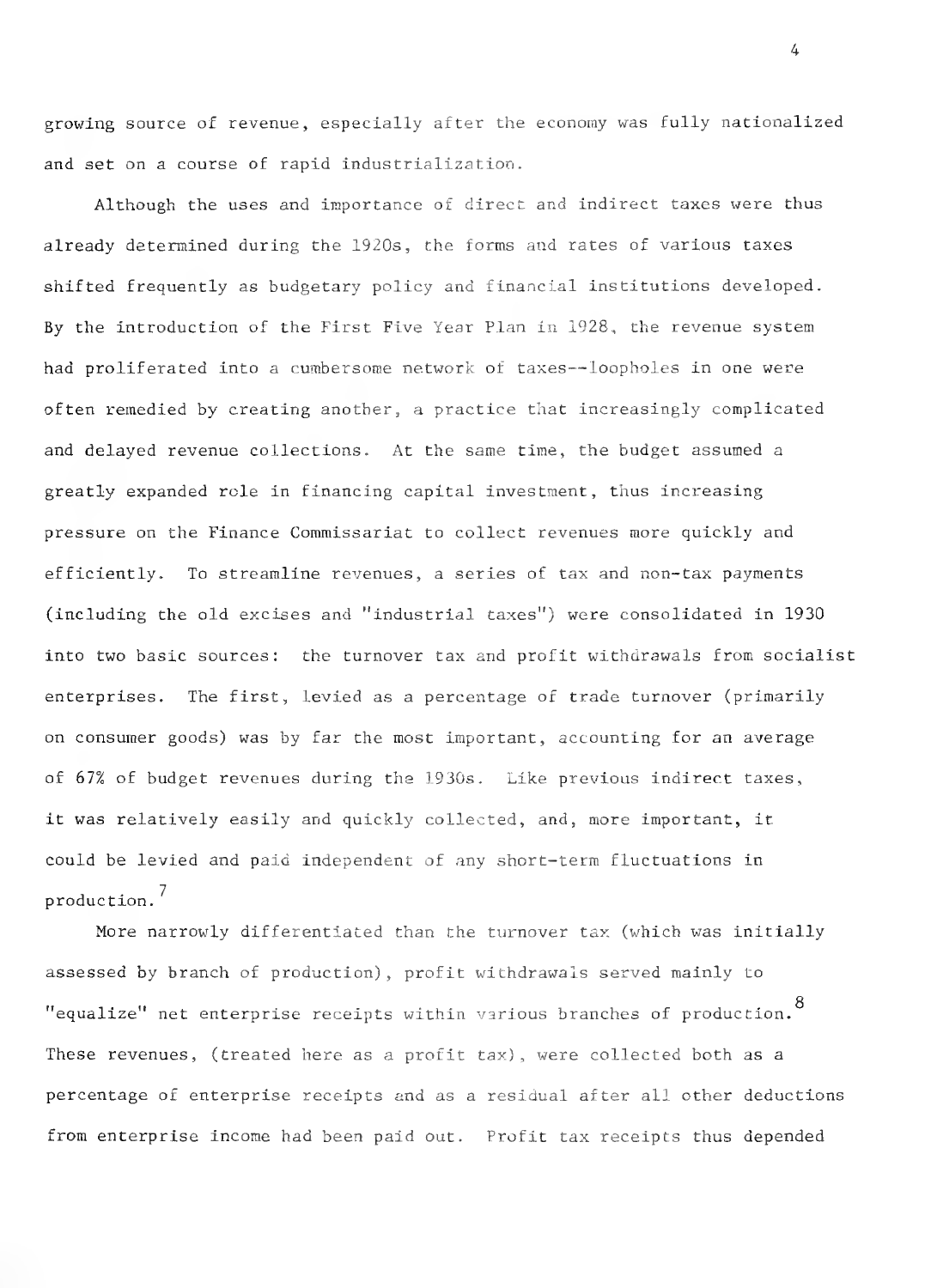growing source of revenue, especially after the economy was fully nationalized and set on a course of rapid industrialization.

Although the uses and importance of direct and indirect taxes were thus already determined during the 1920s, the forms and rates of various taxes shifted frequently as budgetary policy and financial institutions developed. By the introduction of the First Five Year Plan in 1928, the revenue system had proliferated into a cumbersome network of taxes--loopholes in one were often remedied by creating another, a practice that increasingly complicated and delayed revenue collections. At the same time, the budget assumed a greatly expanded role in financing capital investment, thus increasing pressure on the Finance Commissariat to collect revenues more quickly and efficiently. To streamline revenues, a series of tax and non-tax payments (including the old excises and "industrial taxes") were consolidated in 1930 into two basic sources: the turnover tax and profit withdrawals from socialist enterprises. The first, levied as a percentage of trade turnover (primarily on consumer goods) was by far the most important, accounting for an average of 67% of budget revenues during the 1930s. Like previous indirect taxes, it was relatively easily and quickly collected, and, more important, it could be levied and paid independent of any short-term fluctuations in production.

More narrowly differentiated than the turnover tax (which was initially assessed by branch of production) , profit withdrawals served mainly to Q "equalize" net enterprise receipts within various branches of production. These revenues, (treated here as a profit tax), were collected both as a percentage of enterprise receipts and as a residual after all other deductions from enterprise income had been paid out. Profit tax receipts thus depended

4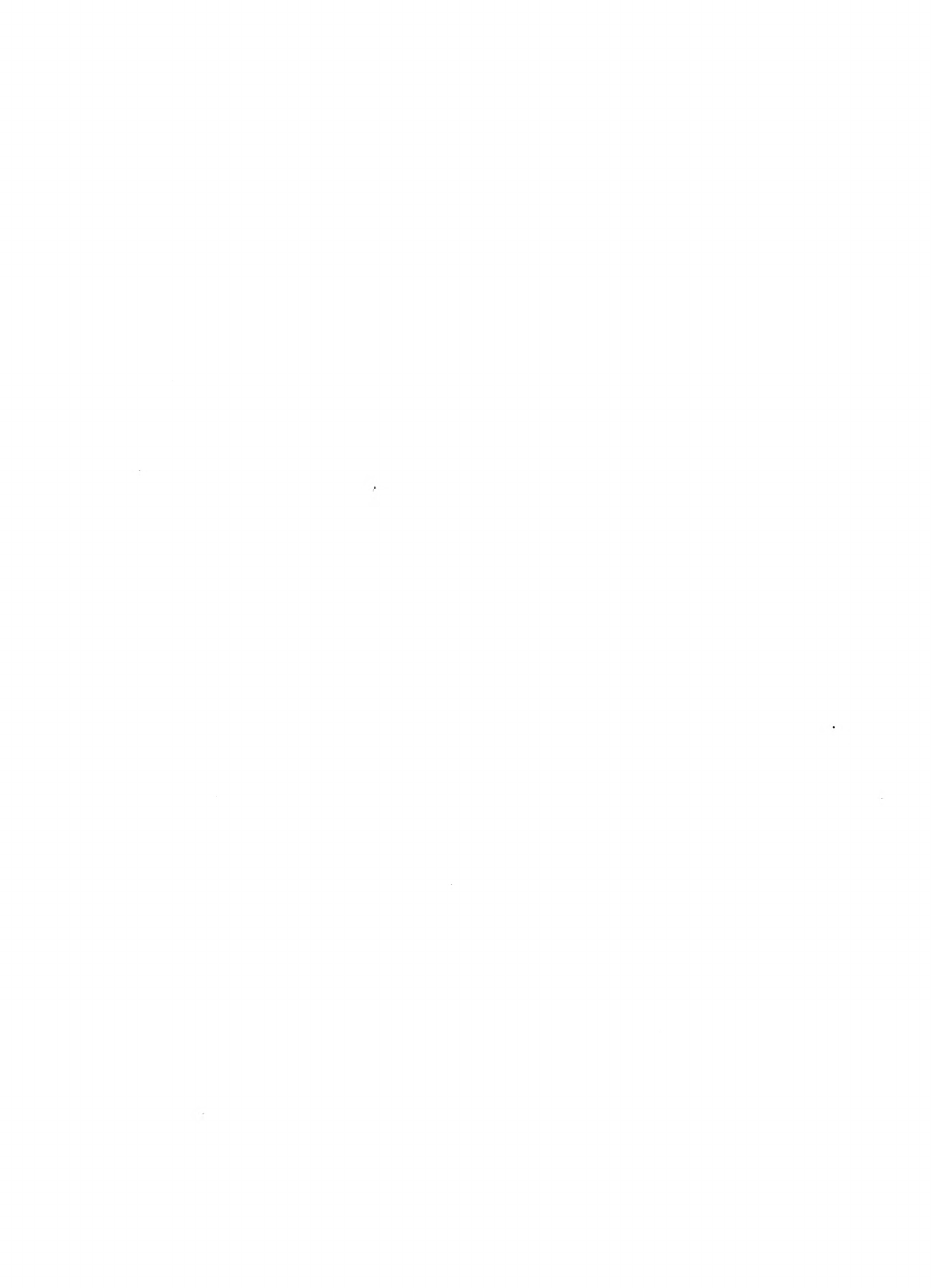$\mathcal{L}^{\text{max}}_{\text{max}}$  , where  $\mathcal{L}^{\text{max}}_{\text{max}}$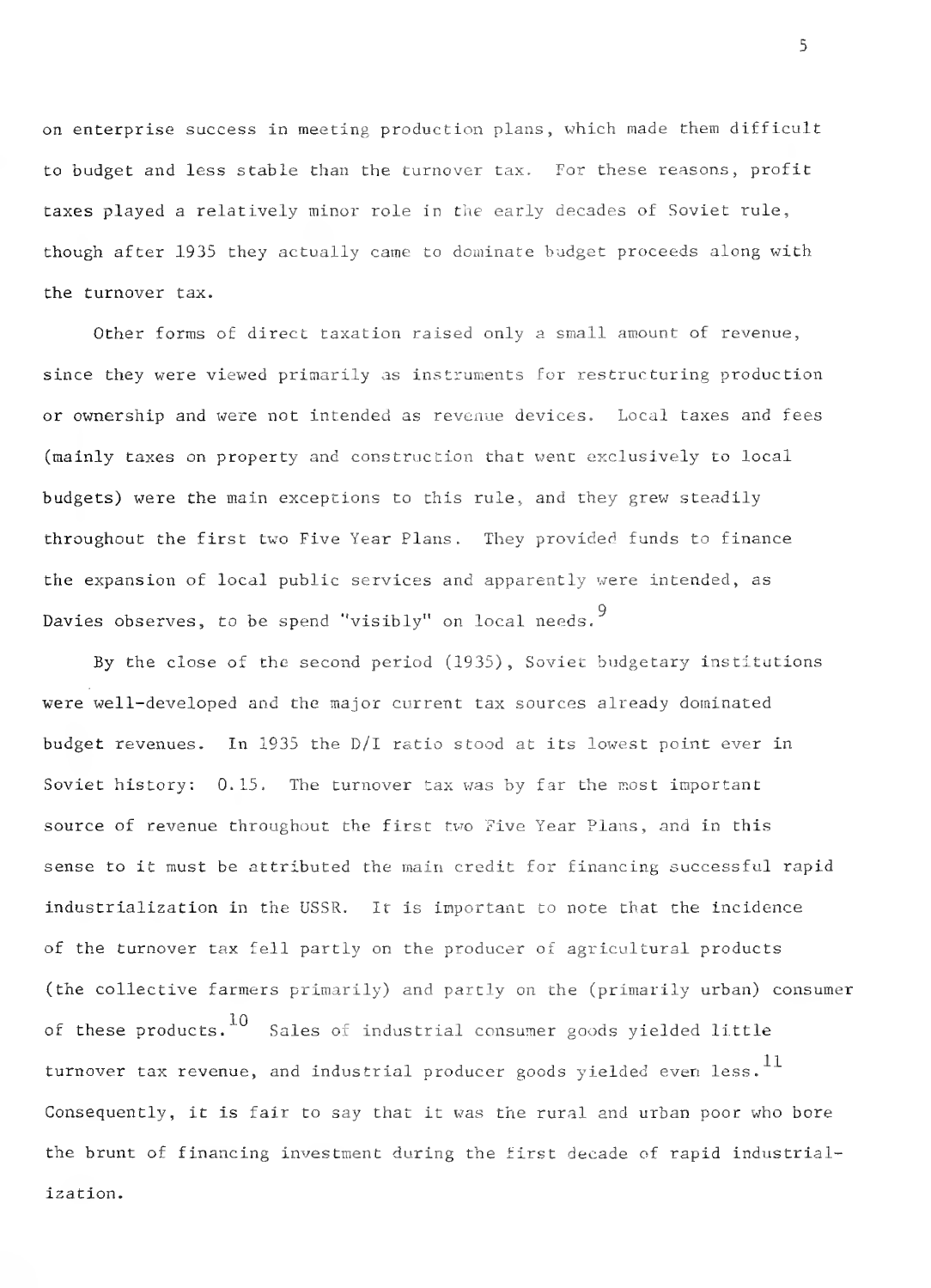on enterprise success in meeting production plans, which made them difficult to budget and less stable than the turnover tax. For these reasons, profit taxes played a relatively minor role in the early decades of Soviet rule, though after 1935 they actually came to dominate budget proceeds along with the turnover tax.

Other forms of direct taxation raised only a small amount of revenue, since they were viewed primarily as instruments for restructuring production or ownership and were not intended as revenue devices. Local taxes and fees (mainly taxes on property and construction that went exclusively to local budgets) were the main exceptions to this rule, and they grew steadily throughout the first two Five Year Plans. They provided funds to finance the expansion of local public services and apparently were intended, as Davies observes, to be spend "visibly" on local needs.<sup>9</sup>

By the close of the second period (1935), Soviet budgetary institutions were well-developed and the major current tax sources already dominated budget revenues. In 1935 the D/l ratio stood at its lowest point ever in Soviet history:  $0.15$ . The turnover tax was by far the most important source of revenue throughout the first two Five Year Plans, and in this sense to it must be attributed the main credit for financing successful rapid industrialization in the USSR. It is important to note that the incidence of the turnover tax fell partly on the producer of agricultural products (the collective farmers primarily) and partly on the (primarily urban) consumer of these products.  $^{10}$  Sales of industrial consumer goods yielded little turnover tax revenue, and industrial producer goods yielded even less. <sup>11</sup> Consequently, it is fair to say that it was the rural and urban poor who bore the brunt of financing investment during the first decade of rapid industrialization.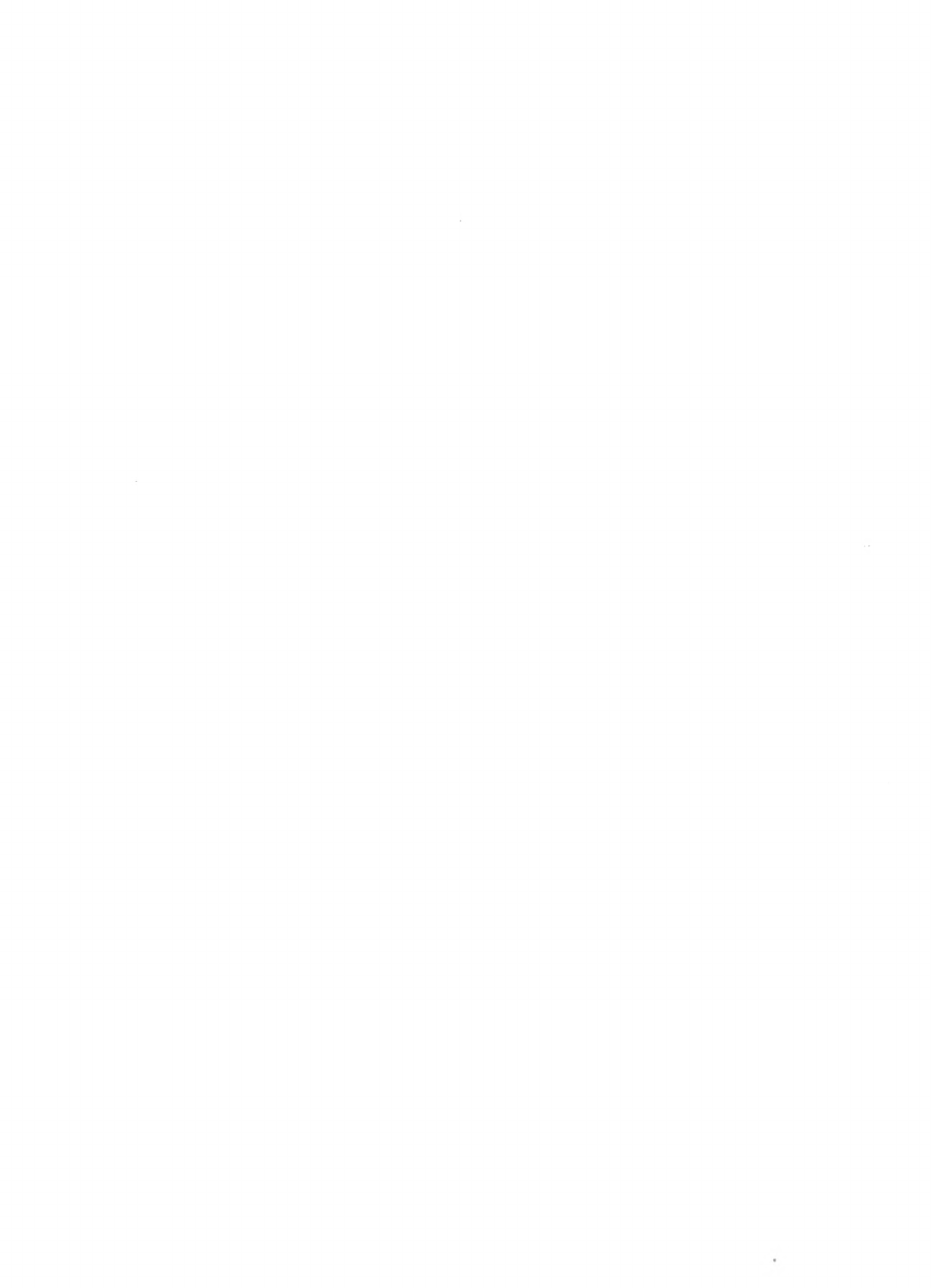$\epsilon$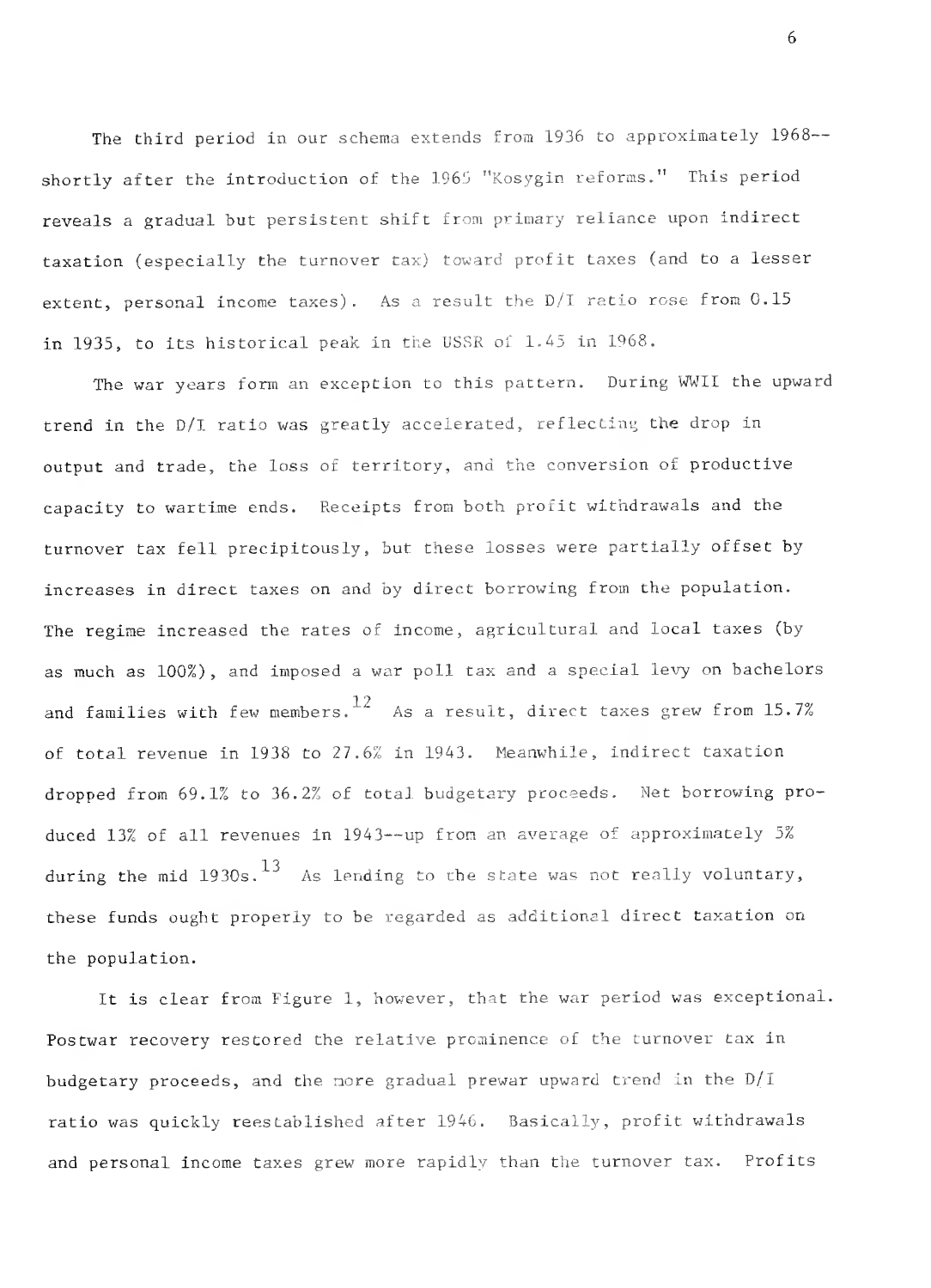The third period in our schema extends from 1936 to approximately 1968 -shortly after the introduction of the 1965 "Kosygin reforms." This period reveals a gradual but persistent shift from primary reliance upon indirect taxation (especially the turnover tax) toward profit taxes (and to <sup>a</sup> lesser extent, personal income taxes). As a result the D/I ratio rose from 0.15 in 1935, to its historical peak in the USSR of 1.45 in 1968.

The war years form an exception to this pattern. During WWII the upward trend in the D/I ratio was greatly accelerated, reflecting the drop in output and trade, the loss of territory, and the conversion of productive capacity to wartime ends. Receipts from both profit withdrawals and the turnover tax fell precipitously, but these losses were partially offset by increases in direct taxes on and by direct borrowing from the population. The regime increased the rates of income, agricultural and local taxes (by as much as 100%), and imposed <sup>a</sup> war poll tax and a special levy on bachelors and families with few members. $^{12}$  As a result, direct taxes grew from 15.7% of total revenue in 1938 to 27.6% in 1943. Meanwhile, indirect taxation dropped from 69.1% to 36.2% of total budgetary proceeds. Net borrowing produced 13% of all revenues in 1943--up from an average of approximately 5% during the mid 1930s.  $^{13}$  As lending to the state was not really voluntary, these funds ought properly to be regarded as additional direct taxation on the population.

It is clear from Figure 1, however, that the war period was exceptional. Postwar recovery restored the relative prominence of the turnover tax in budgetary proceeds, and the more gradual prewar upward trend in the D/I ratio was quickly reestablished after 1946. Basically, profit withdrawals and personal income taxes grew more rapidly than the turnover tax. Profits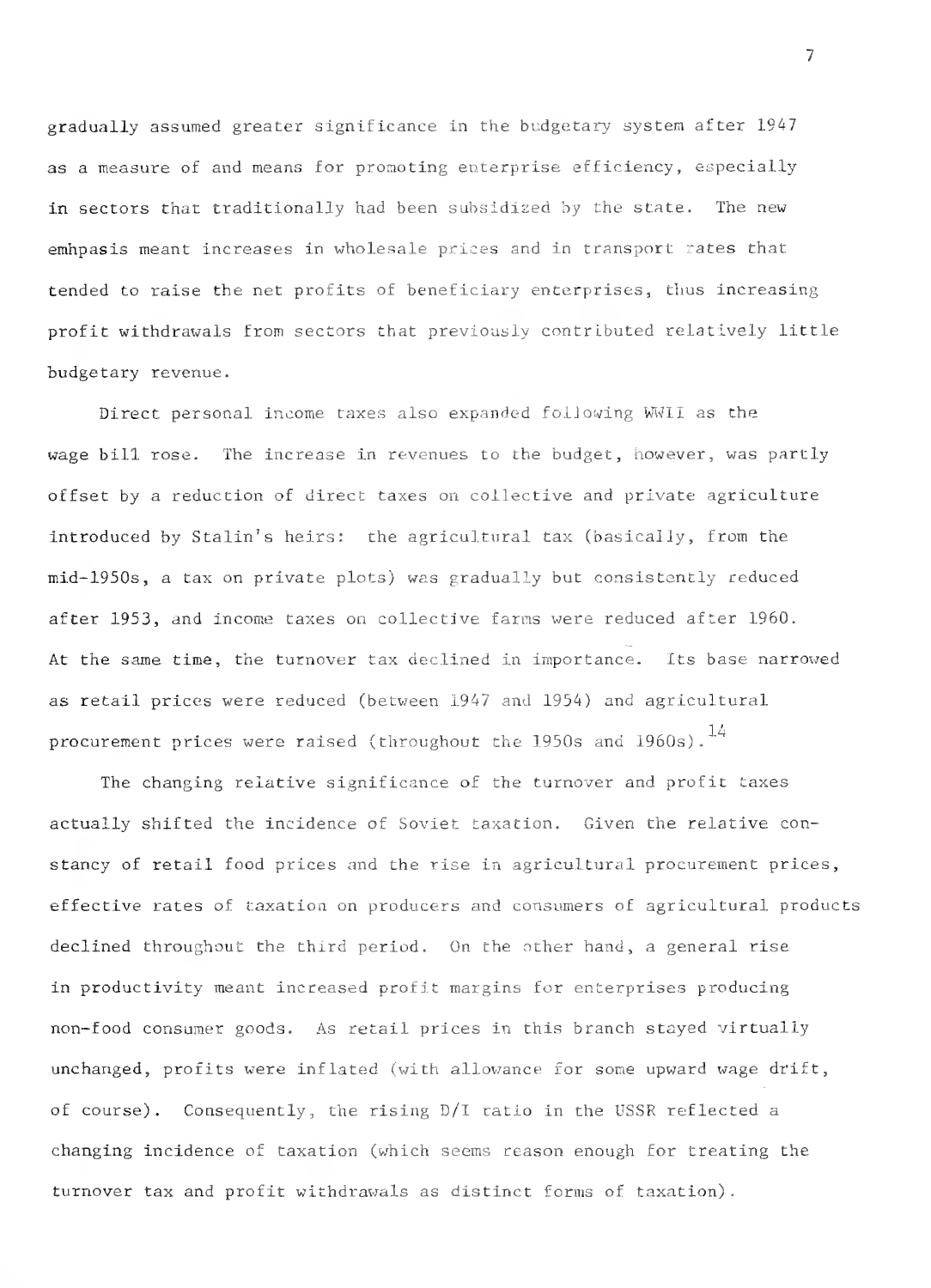gradually assumed greater significance in the budgetary system after 1947 as a measure of and means for promoting enterprise efficiency, especially in sectors that traditionally had been subsidized by the state. The new emhpasis meant increases in wholesale prices and in transport rates that tended to raise the net profits of beneficiary enterprises, thus increasing profit withdrawals from sectors that previously contributed relatively little budgetary revenue.

Direct personal income taxes also expanded following WIl as the wage bill rose. The increase in revenues to the budget, however, was partly offset by a reduction of direct taxes on collective and private agriculture introduced by Stalin's heirs: the agricultural tax (basically, from the mid-1950s, a tax on private plots) was gradually but consistently reduced after 1953, and income taxes on collective farms were reduced after 1960. At the same time, the turnover tax declined in importance. Its base narrowed as retail prices were reduced (between 1947 and 1954) and agricultural procurement prices were raised (throughout the 1950s and 1960s). $^{\rm 14}$ 

The changing relative significance of the turnover and profit taxes actually shifted the incidence of Soviet taxation. Given the relative constancy of retail food prices and the rise in agricultural procurement prices, effective rates of taxation on producers and consumers of agricultural products declined throughout the third period. On the other hand, a general rise in productivity meant increased profit margins for enterprises producing non-food consumer goods. As retail prices in this branch stayed virtually unchanged, profits were inflated (with allowance for some upward wage drift, of course). Consequently, the rising D/l ratio in the USSR reflected a changing incidence of taxation (which seems reason enough for treating the turnover tax and profit withdrawals as distinct forms of taxation) .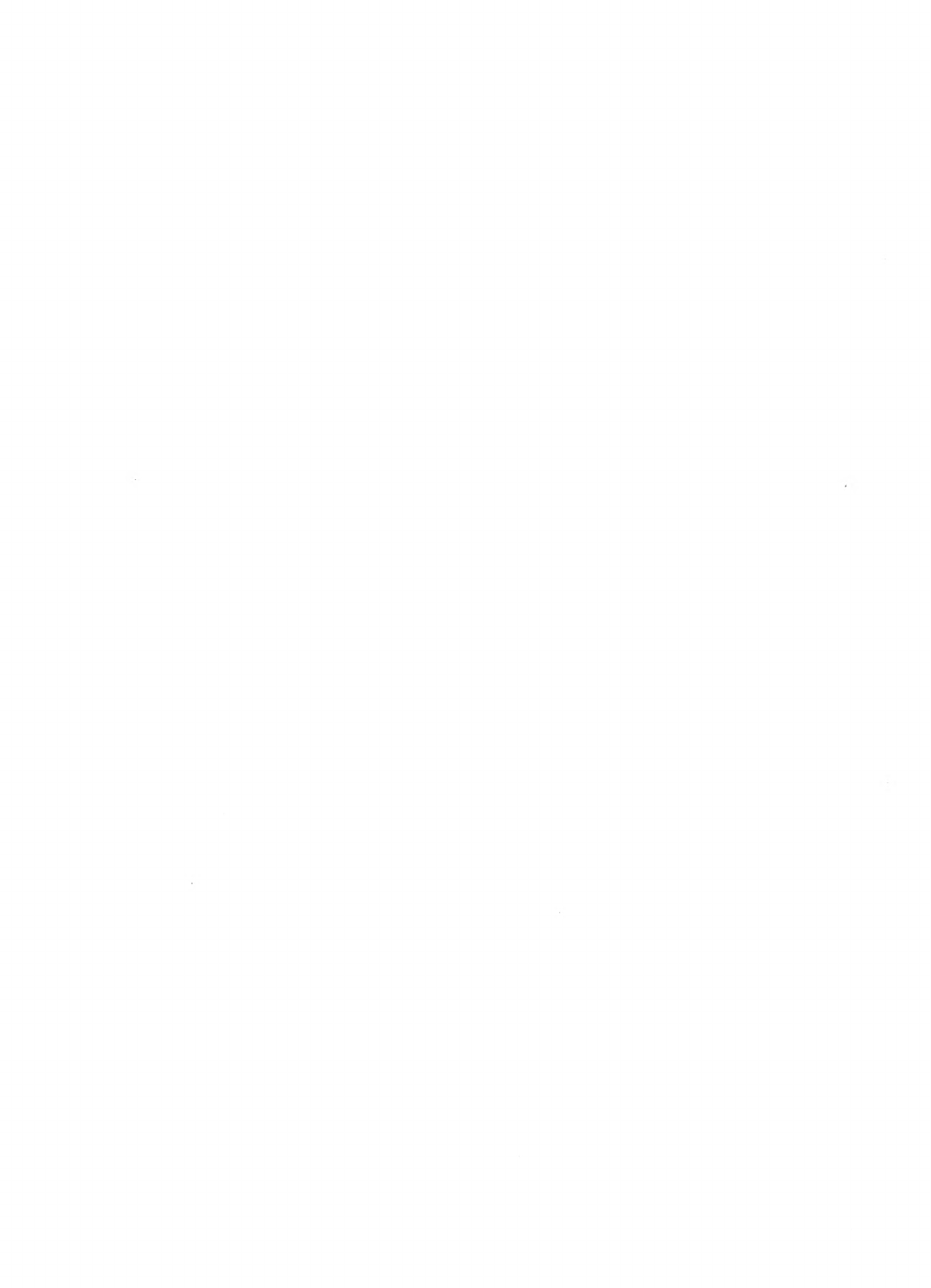$\mathcal{L}(\mathcal{A})$  and  $\mathcal{L}(\mathcal{A})$  .

 $\label{eq:2.1} \frac{1}{\sqrt{2}}\sum_{i=1}^n\frac{1}{\sqrt{2}}\sum_{i=1}^n\frac{1}{\sqrt{2}}\sum_{i=1}^n\frac{1}{\sqrt{2}}\sum_{i=1}^n\frac{1}{\sqrt{2}}\sum_{i=1}^n\frac{1}{\sqrt{2}}\sum_{i=1}^n\frac{1}{\sqrt{2}}\sum_{i=1}^n\frac{1}{\sqrt{2}}\sum_{i=1}^n\frac{1}{\sqrt{2}}\sum_{i=1}^n\frac{1}{\sqrt{2}}\sum_{i=1}^n\frac{1}{\sqrt{2}}\sum_{i=1}^n\frac$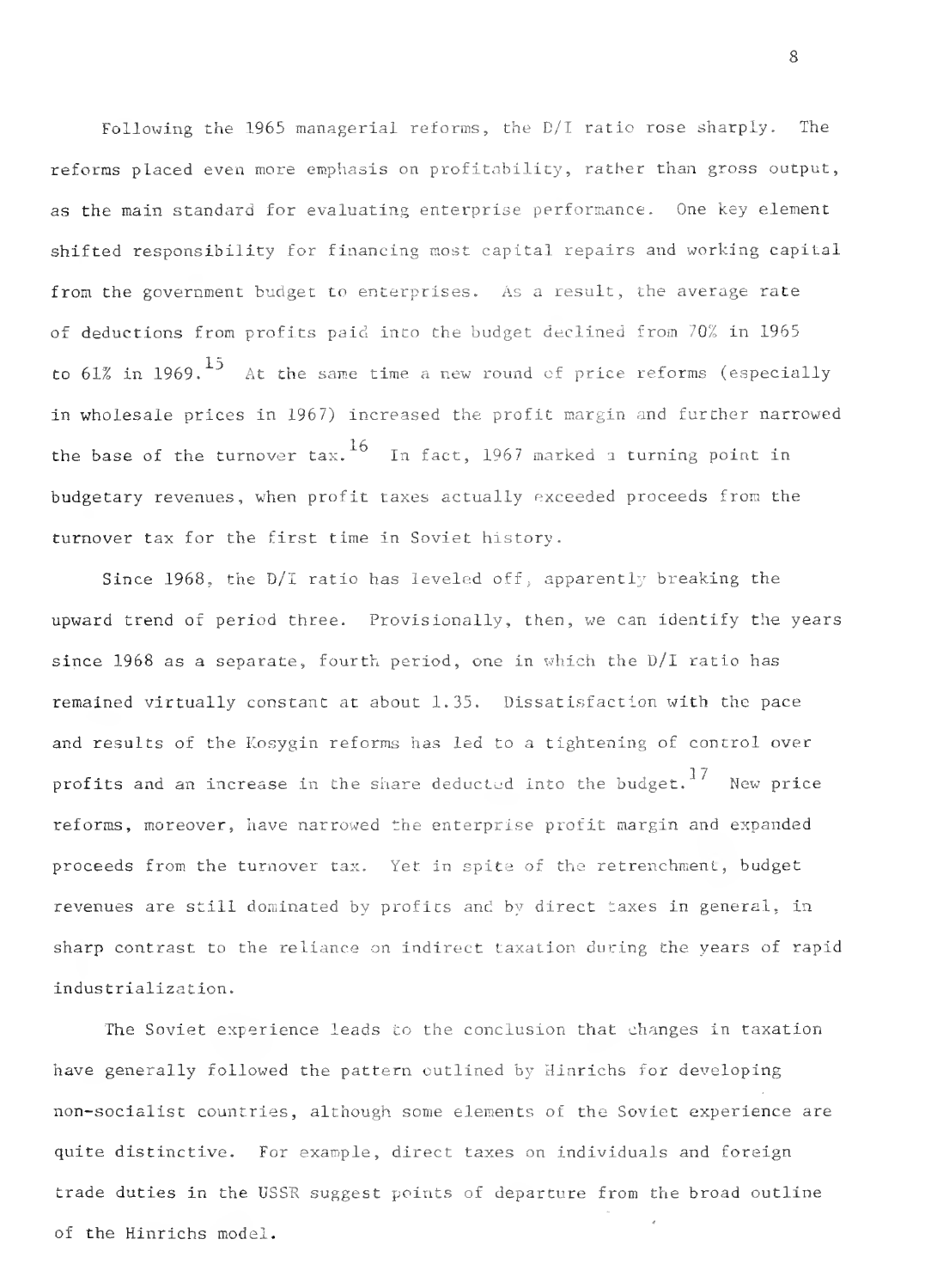Following the 1965 managerial reforms, the D/I ratio rose sharply. The reforms placed even more emphasis on profitability, rather than gross output, as the main standard for evaluating enterprise performance. One key element shifted responsibility for financing most capital repairs and working capital from the government budget to enterprises. As a result, the average rate of deductions from profits paid into the budget declined from 70% in 1965 to 61% in 1969.  $^{15}$  At the same time a new round of price reforms (especially in wholesale prices in 1967) increased the profit margin and further narrowed the base of the turnover tax.  $16$  In fact, 1967 marked a turning point in budgetary revenues, when profit taxes actually exceeded proceeds from the turnover tax for the first time in Soviet history.

Since 1968, the D/I ratio has leveled off, apparently breaking the upward trend of period three. Provisionally, then, we can identify the years since 1968 as a separate, fourth period, one in which the D/I ratio has remained virtually constant at about 1.35. Dissatisfaction with the pace and results of the Kosygin reforms has led to a tightening of control over profits and an increase in the share deducted into the budget.<sup>17</sup> New price reforms, moreover, have narrowed the enterprise profit margin and expanded proceeds from the turnover tax. Yet in spite of the retrenchment, budget revenues are still dominated by profits and by direct taxes in general, in sharp contrast to the reliance on indirect taxation during the years of rapid industrialization.

The Soviet experience leads to the conclusion that changes in taxation have generally followed the pattern outlined by Hinrichs for developing non-socialist countries, although some elements of the Soviet experience are quite distinctive. For example, direct taxes on individuals and foreign trade duties in the USSR suggest points of departure from the broad outline of the Hinrichs model.

8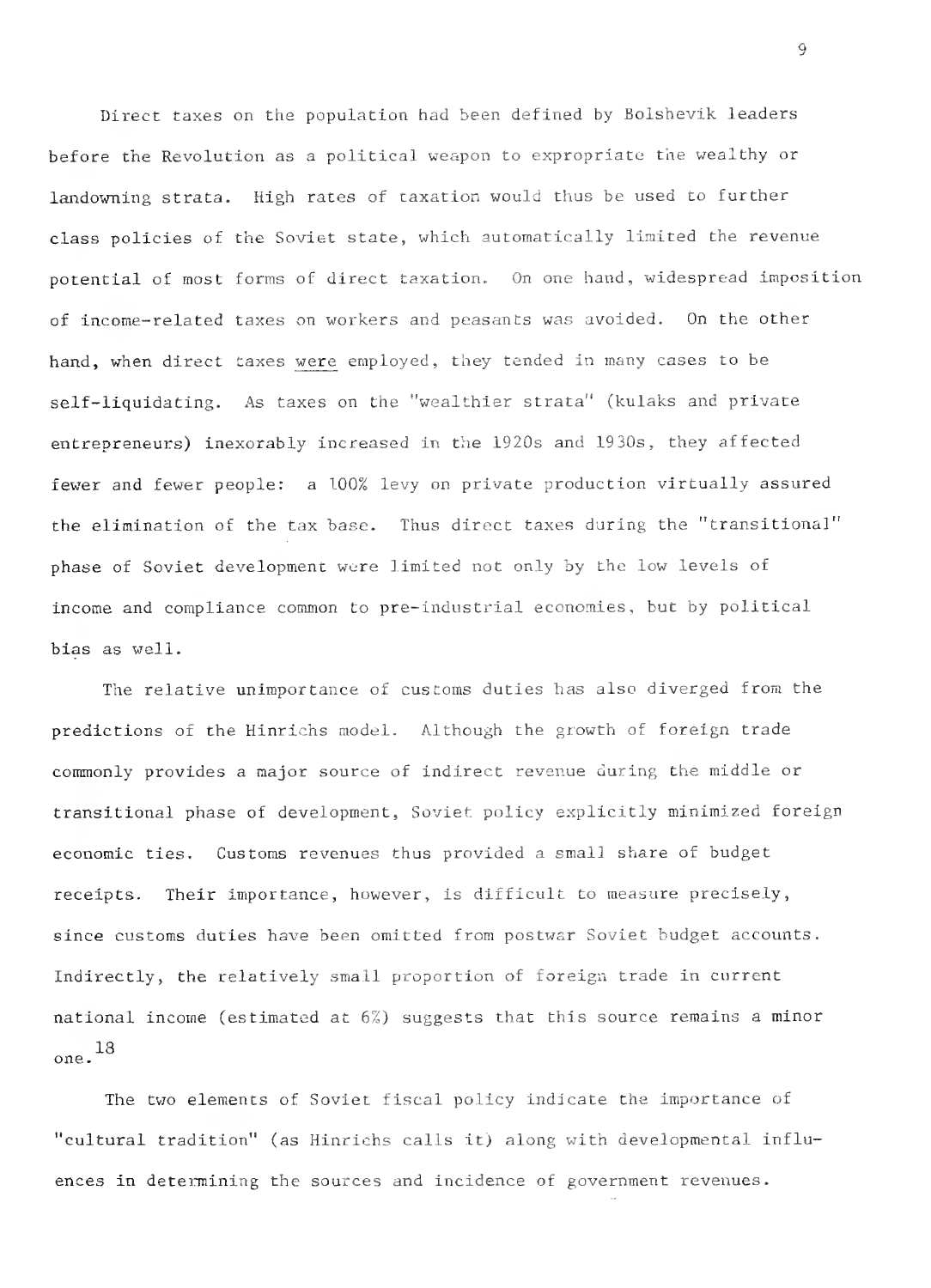Direct taxes on the population had been defined by Bolshevik leaders before the Revolution as a political weapon to expropriate the wealthy or landowning strata. High rates of taxation would thus be used to further class policies of the Soviet state, which automatically limited the revenue potential of most forms of direct taxation. On one hand, widespread imposition of income-related taxes on workers and peasants was avoided. On the other hand, when direct taxes were employed, they tended in many cases to be self-liquidating. As taxes on the "wealthier strata" (kulaks and private entrepreneurs) inexorably increased in the 1920s and 1930s, they affected fewer and fewer people: a 100% levy on private production virtually assured the elimination of the tax base. Thus direct taxes during the "transitional" phase of Soviet development were Jimited not only by the low levels of income and compliance common to pre-industrial economies, but by political bias as well.

The relative unimportance of customs duties has also diverged from the predictions of the Hinrichs model. Although the growth of foreign trade commonly provides a major source of indirect revenue during the middle or transitional phase of development, Soviet policy explicitly minimized foreign economic ties. Customs revenues thus provided a small share of budget receipts. Their importance, however, is difficult to measure precisely, since customs duties have been omitted from postwar Soviet budget accounts. Indirectly, the relatively small proportion of foreign trade in current national income (estimated at 6%) suggests that this source remains a minor <sup>18</sup> one.

The two elements of Soviet fiscal policy indicate the importance of "cultural tradition" (as Hinrichs calls it) along with developmental influences in determining the sources and incidence of government revenues.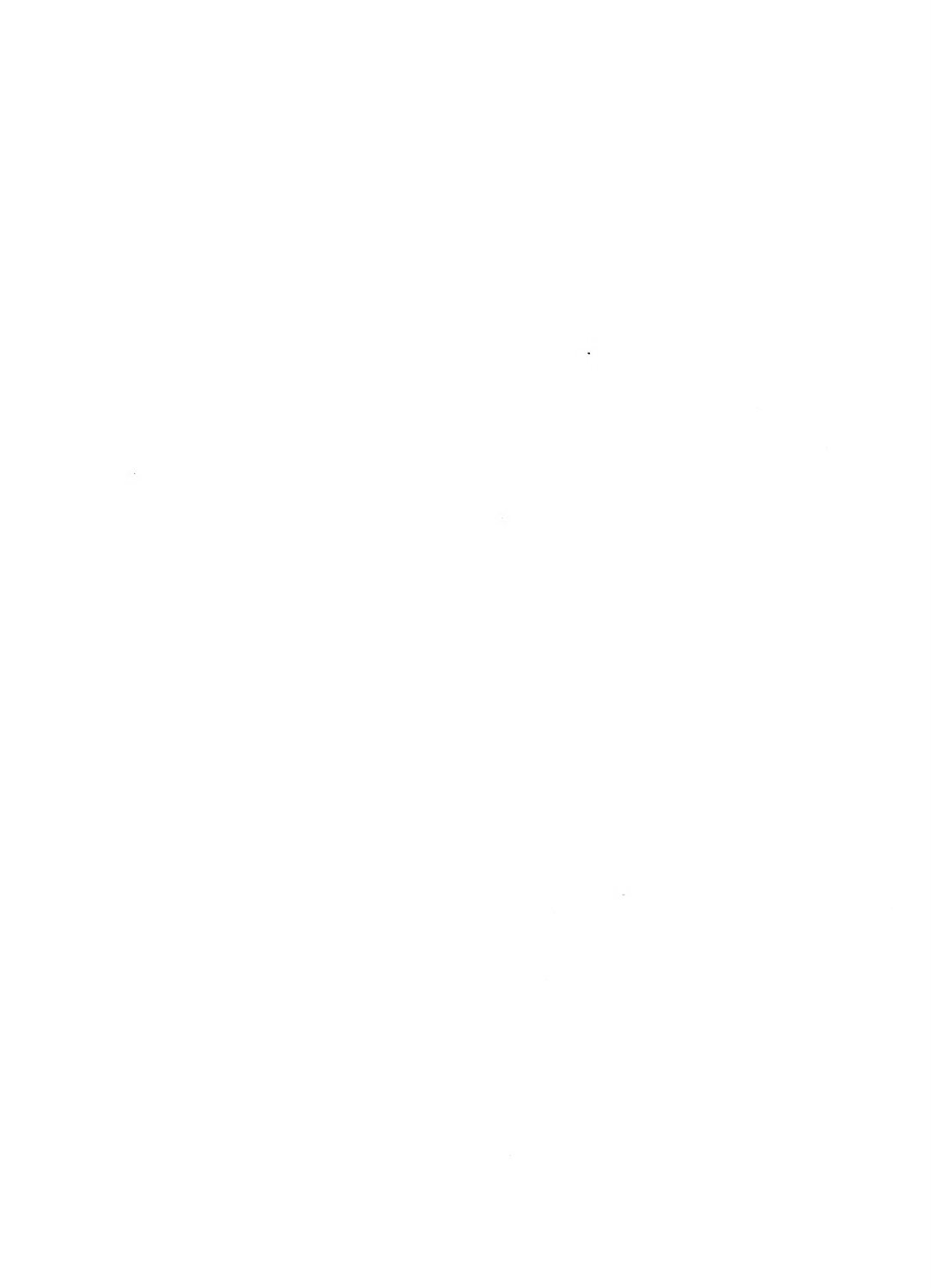$\label{eq:2.1} \frac{1}{\sqrt{2}}\left(\frac{1}{\sqrt{2}}\right)^{2} \left(\frac{1}{\sqrt{2}}\right)^{2} \left(\frac{1}{\sqrt{2}}\right)^{2} \left(\frac{1}{\sqrt{2}}\right)^{2} \left(\frac{1}{\sqrt{2}}\right)^{2} \left(\frac{1}{\sqrt{2}}\right)^{2} \left(\frac{1}{\sqrt{2}}\right)^{2} \left(\frac{1}{\sqrt{2}}\right)^{2} \left(\frac{1}{\sqrt{2}}\right)^{2} \left(\frac{1}{\sqrt{2}}\right)^{2} \left(\frac{1}{\sqrt{2}}\right)^{2} \left(\$ 

 $\label{eq:2.1} \left\langle \left\langle \omega_{\alpha}\right\rangle \right\rangle =\left\langle \left\langle \left\langle \omega_{\alpha}\right\rangle \right\rangle \right\rangle$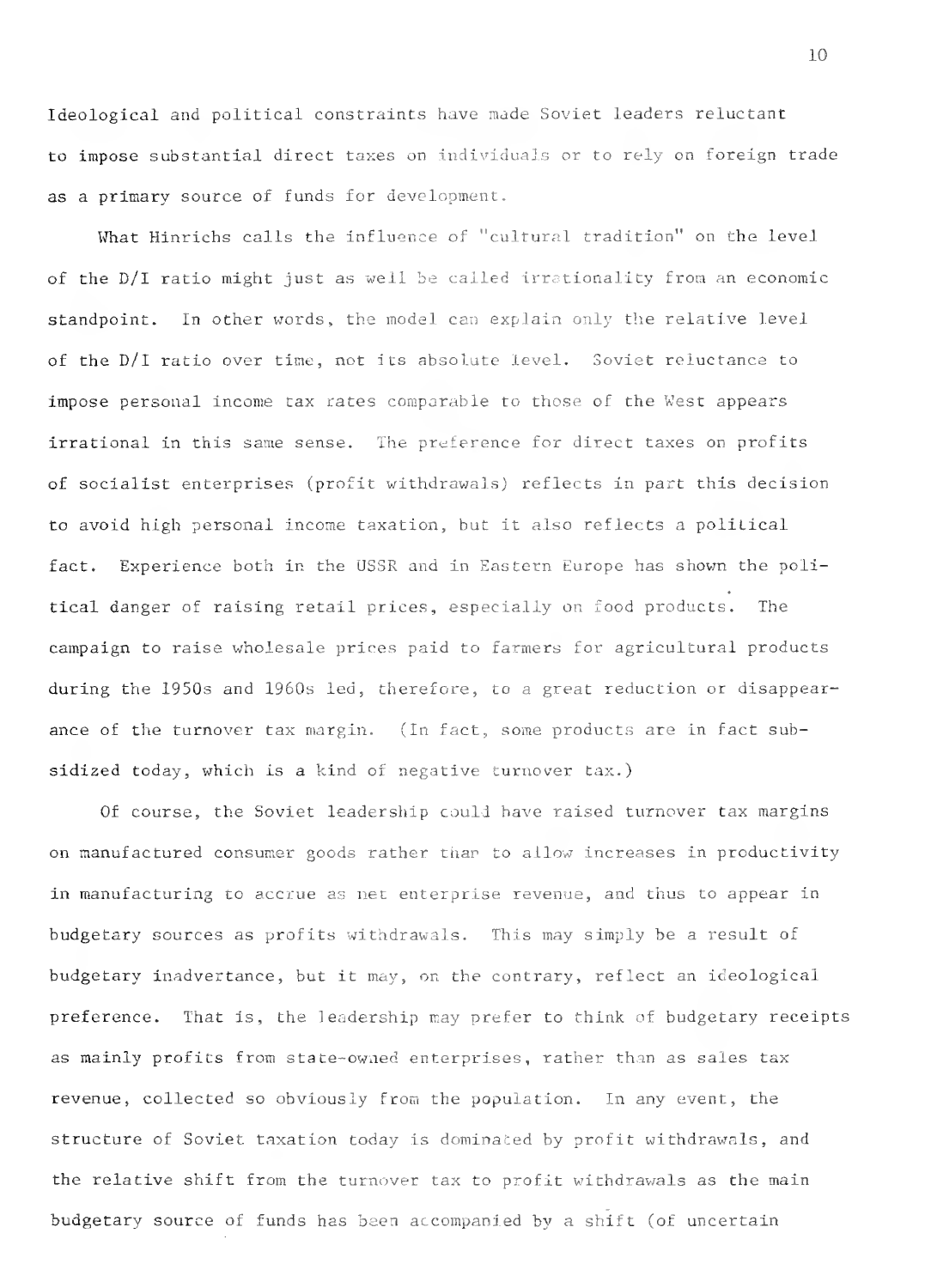Ideological and political constraints have made Soviet leaders reluctant to impose substantial direct taxes on individuals or to rely on foreign trade as a primary source of funds for development.

What Hinrichs calls the influence of "cultural tradition" on the level of the D/I ratio might just as well be called irrationality from an economic standpoint. In other words, the model can explain only the relative level of the D/I ratio over time, not its absolute level. Soviet reluctance to impose personal income tax rates comparable to those of the West appears irrational in this same sense. The preference for direct taxes on profits of socialist enterprises (profit withdrawals) reflects in part this decision to avoid high personal income taxation, but it also reflects a political fact. Experience both in the USSR and in Eastern Europe has shown the political danger of raising retail prices, especially on food products. The campaign to raise wholesale prices paid to farmers for agricultural products during the 1950s and 1960s led, therefore, to a great reduction or disappearance of the turnover tax margin, (In fact, some products are in fact subsidized today, which is a kind of negative turnover tax.)

Of course, the Soviet leadership could have raised turnover tax margins on manufactured consumer goods rather than to allow increases in productivity in manufacturing to accrue as net enterprise revenue, and thus to appear in budgetary sources as profits withdrawals. This may simply be a result of budgetary inadvertance, but it may, on the contrary, reflect an ideological preference. That is, the leadership may prefer to think of budgetary receipts as mainly profits from state-owned enterprises, rather than as sales tax revenue, collected so obviously from the population. In any event, the structure of Soviet taxation today is dominated by profit withdrawals, and the relative shift from the turnover tax to profit withdrawals as the main budgetary source of funds has been accompanied by a shift (of uncertain

10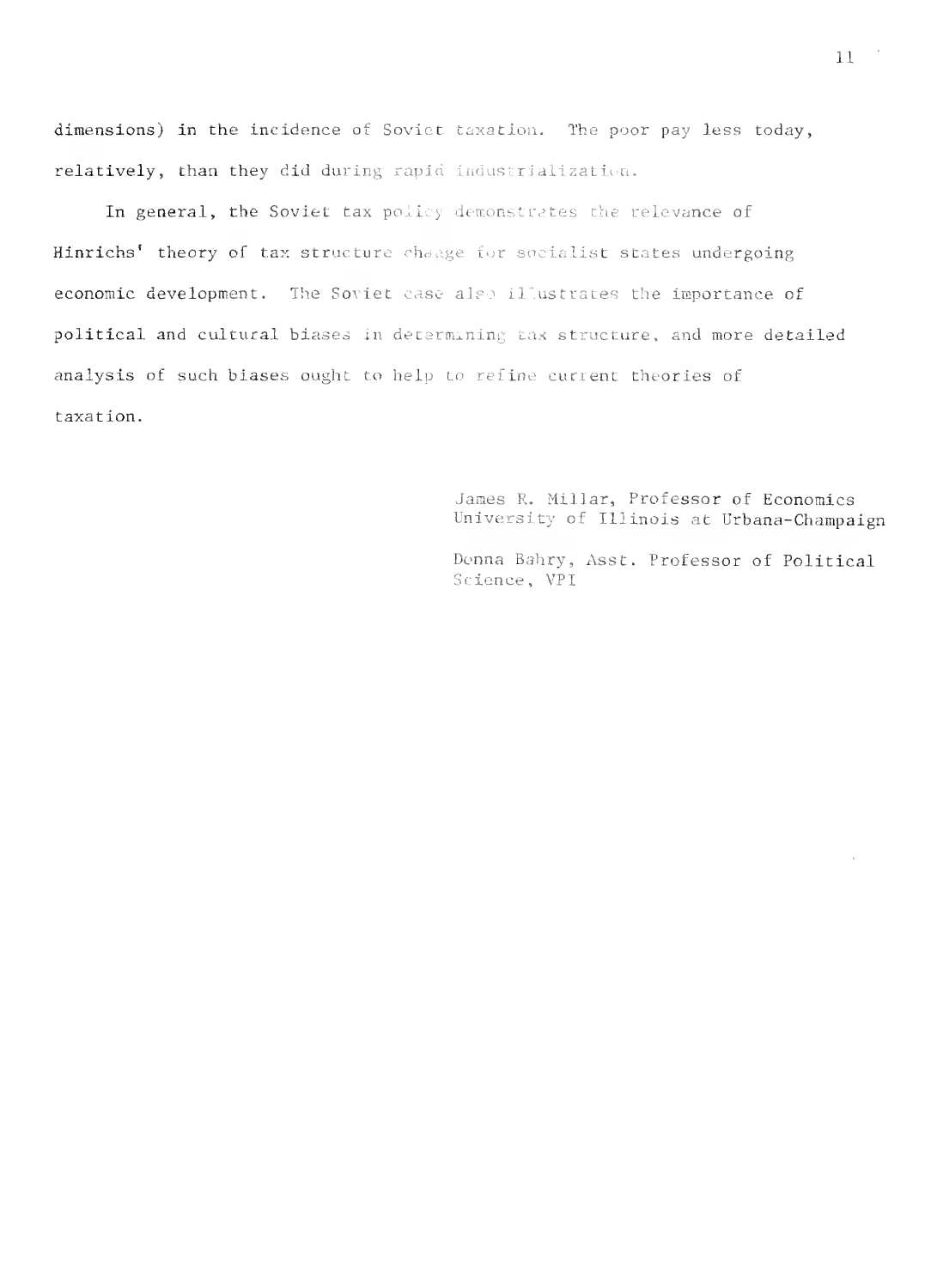dimensions) in the incidence of Soviet taxation. The poor pay less today, relatively, than they did during rapid industrialization.

In general, the Soviet tax policy demonstrates the relevance of Hinrichs' theory of tax structure change for socialist states undergoing economic development. The Soviet case also illustrates the importance of political and cultural biases in determxning tax structure, and more detailed analysis of such biases ought to help to refine current theories of taxation.

> James R. Millar, Professor of Economics University of Illinois at Urbana-Champaign

Donna Bahry, Asst. Professor of Political Science, VPI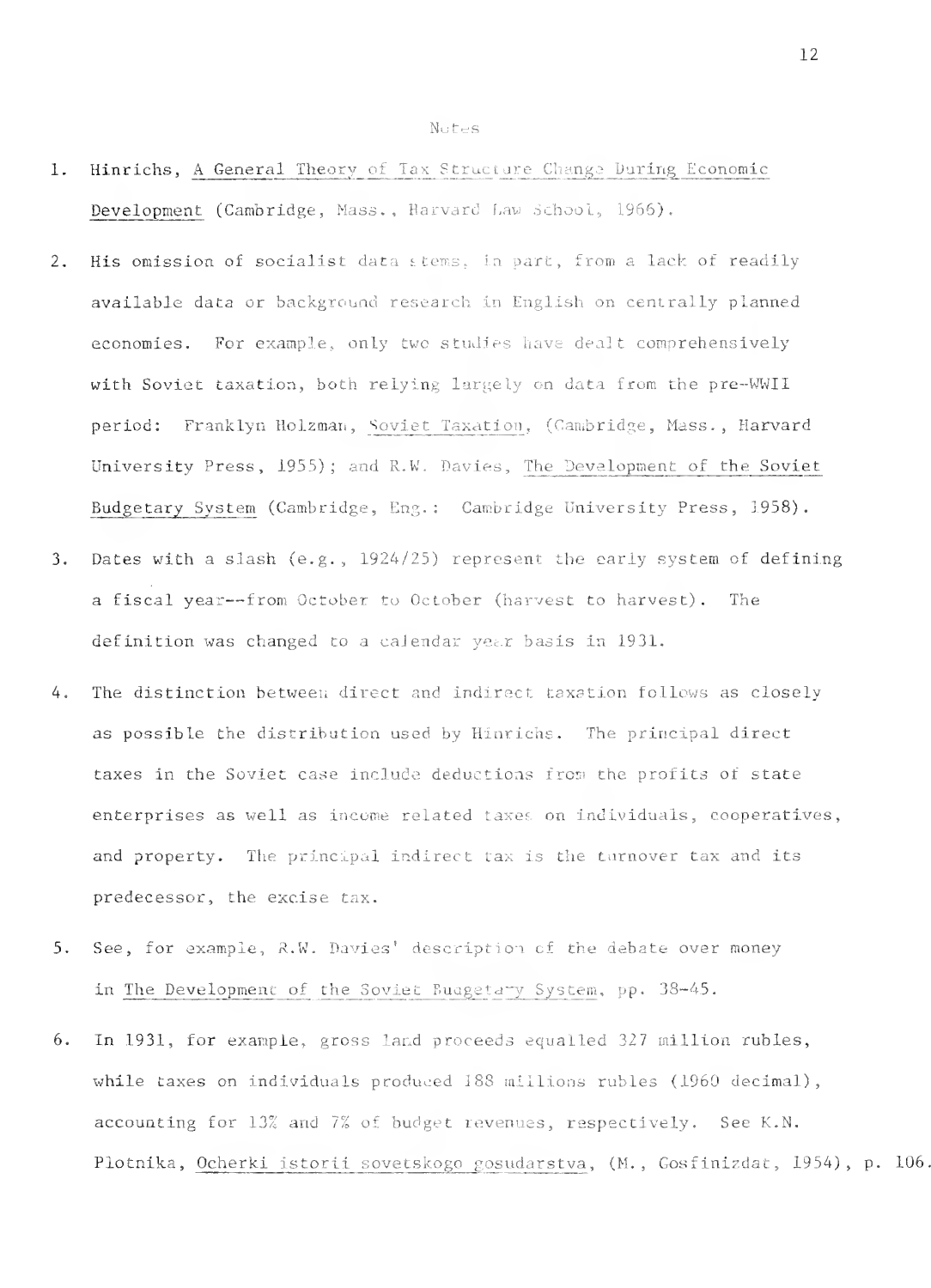Notes

- 1. Hinrichs, A General Theory of Tax Structure Change During Economic Development (Cambridge, Mass., Harvard Law School, 1966).
- 2. His omission of socialist data stems, in part, from a lack of readily available data or background research in English on centrally planned economies. For example, only two studies have dealt comprehensively with Soviet taxation, both relying largely on data from the pre-WWII period: Franklyn Holzman, Soviet Taxation, (Cambridge, Mass., Harvard University Press, 1955); and R.W. Davies, The Development of the Soviet Budgetary System (Cambridge, Eng. : Cambridge University Press, 1958).
- 3. Dates with a slash (e.g., 1924/25) represent the early system of defining <sup>a</sup> fiscal year—from October to October (harvest to harvest) . The definition was changed to a calendar year basis in 1931.
- 4. The distinction between direct and indirect taxation follows as closely as possible the distribution used by Hinrichs. The principal direct taxes in the Soviet case include deductions from the profits of state enterprises as well as income related taxes on Individuals, cooperatives, and property. The principal indirect tax is the turnover tax and its predecessor, the excise tax.
- 5. See, for example, R.W. Davies' description cf the debate over money in The Development of the Soviet Budgetary System, pp. 38-45.
- 6. In 1931, for example, gross land proceeds equalled 327 million rubles, while taxes on individuals produced 188 millions rubles (1960 decimal), accounting for 13% and 7% of budget revenues, respectively. See K.N. Plotnika, Ocherki istorii sovetskogo gosudarstva, (M., Gosfinizdat, 1954), p. 106.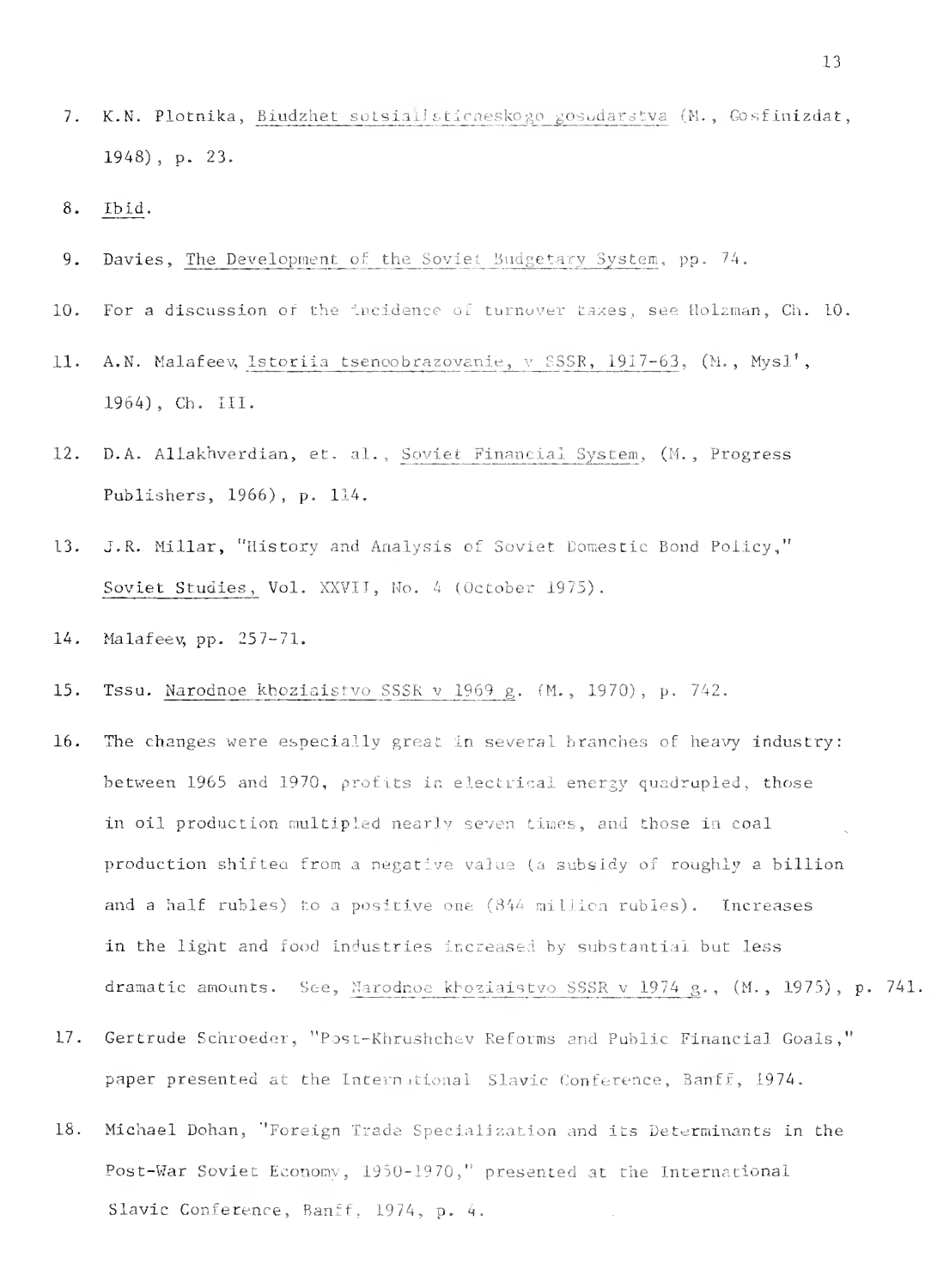- 7. K.N. Plotnika, Biudzhet sotsiallsticheskogo gosudarstva (M. , Gosfinizdat, 1948), p. 23.
- 8. Ibid.
- 9. Davies, The Development of the Soviet Budgetary System, pp. 74.
- 10. For a discussion of the Incidence of turnover taxes., see Holzman, Ch. 10.
- 11. A.N. Malafeev, Istoriia tsenoobrazovanie, v SSSR, 1917-63, (M., Mysl', 1964), Ch. III.
- 12. D.A. Allakhverdian, et. al., Soviet Financial System, (M., Progress Publishers, 1966), p. 114.
- 13. J.R. Millar, "History and Analysis of Soviet Domestic Bond Policy," Soviet Studies, Vol. XXVII, No. 4 (October 1975).
- 14. Malafeev, pp. 25 7-71.
- 15. Tssu. Narodnoe khoziaistvo SSSR v 1969 g. (M., 1970), p. 742.
- 16. The changes were especially great in several branches of heavy industry: between 1965 and 1970, profits in electrical energy quadrupled, those in oil production multipled nearly seven times, and those in coal production shifted from a negative value (a subsidy of roughly a billion and a half rubles) to a positive one (844 million rubles). Increases in the light and food industries increased by substantial but less dramatic amounts. See, Narodnoe khoziaistvo SSSR v 1974 g.,  $(M., 1975)$ , p. 741.
- 17. Gertrude Schroeder, "Post-Khrushchev Reforms and Public Financial Goals," paper presented at the International Slavic Conference, Banff, 1974.
- 18. Michael Dohan, "Foreign Trade Specialization and its Determinants in the Post-War Soviet Economy, 1950-1970," presented at the International Slavic Conference, Banff, 1974, p. 4.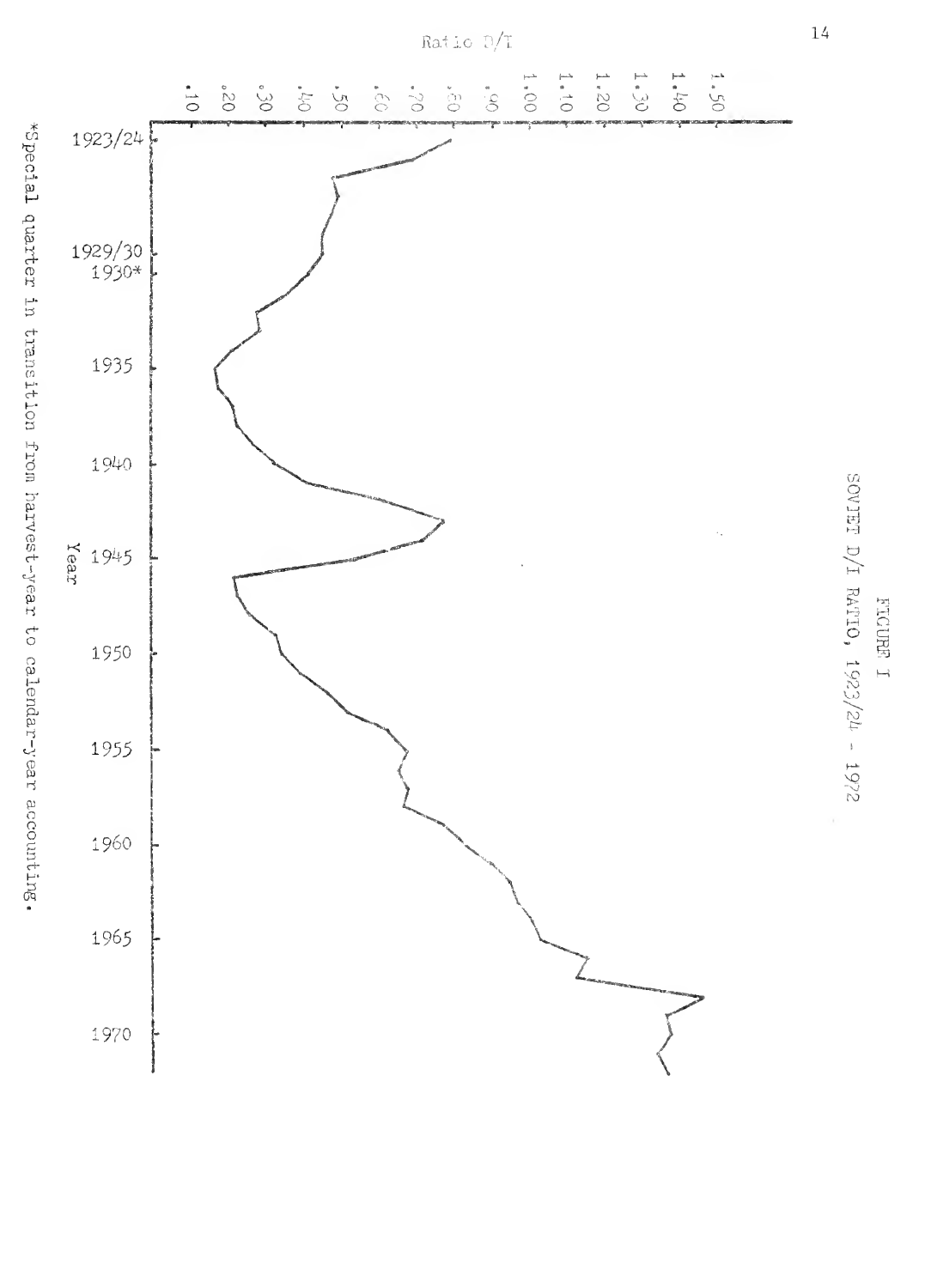



 $\frac{1}{4}$ 

SOVIET D/I RATIO, 1923/24 - 1972

L BELDER I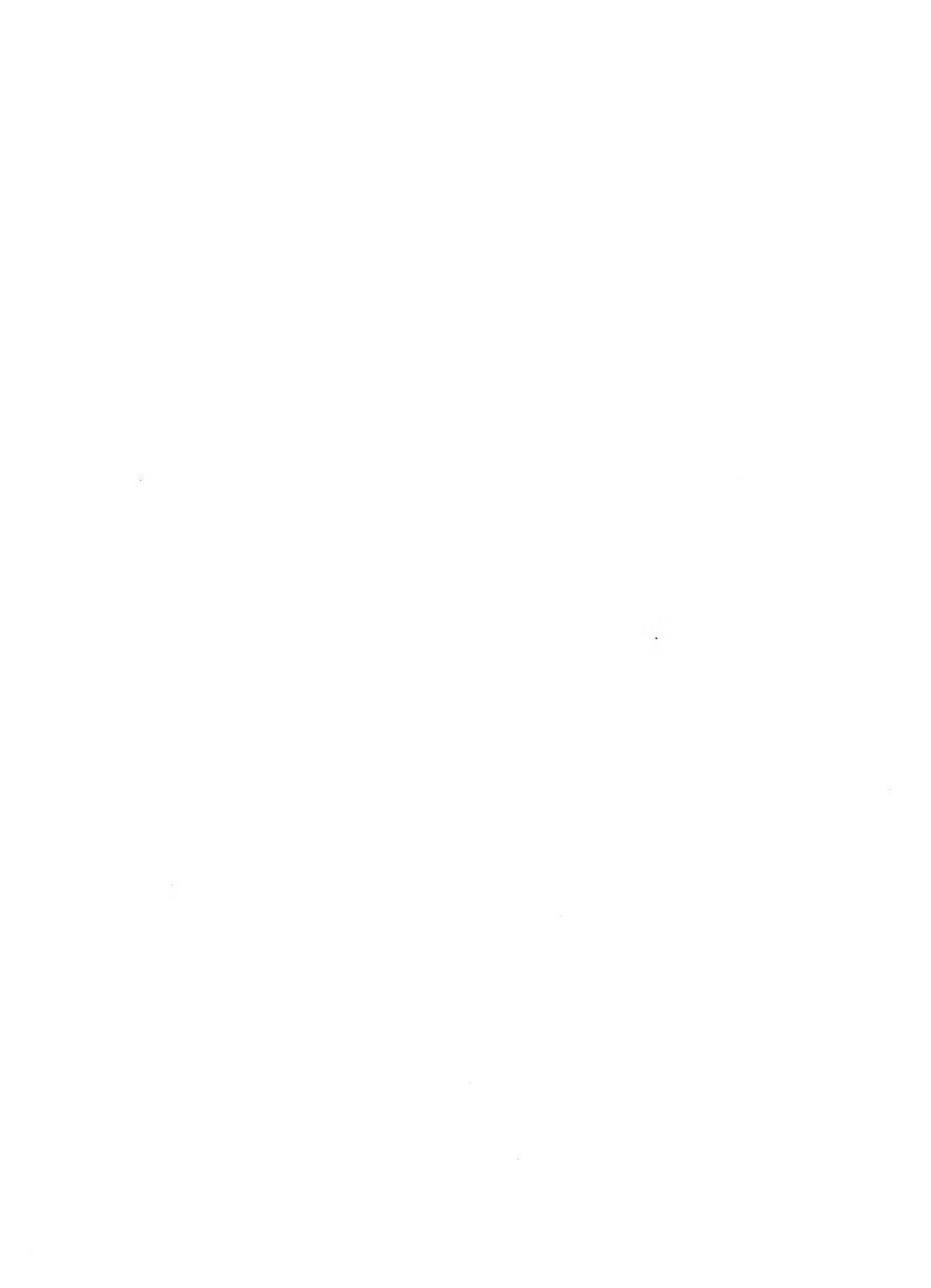$\mathcal{L}^{\text{max}}_{\text{max}}$ 

 $\label{eq:2} \mathcal{L} = \mathcal{L} \left( \frac{1}{\sqrt{2}} \right) \mathcal{L} \left( \frac{1}{\sqrt{2}} \right)$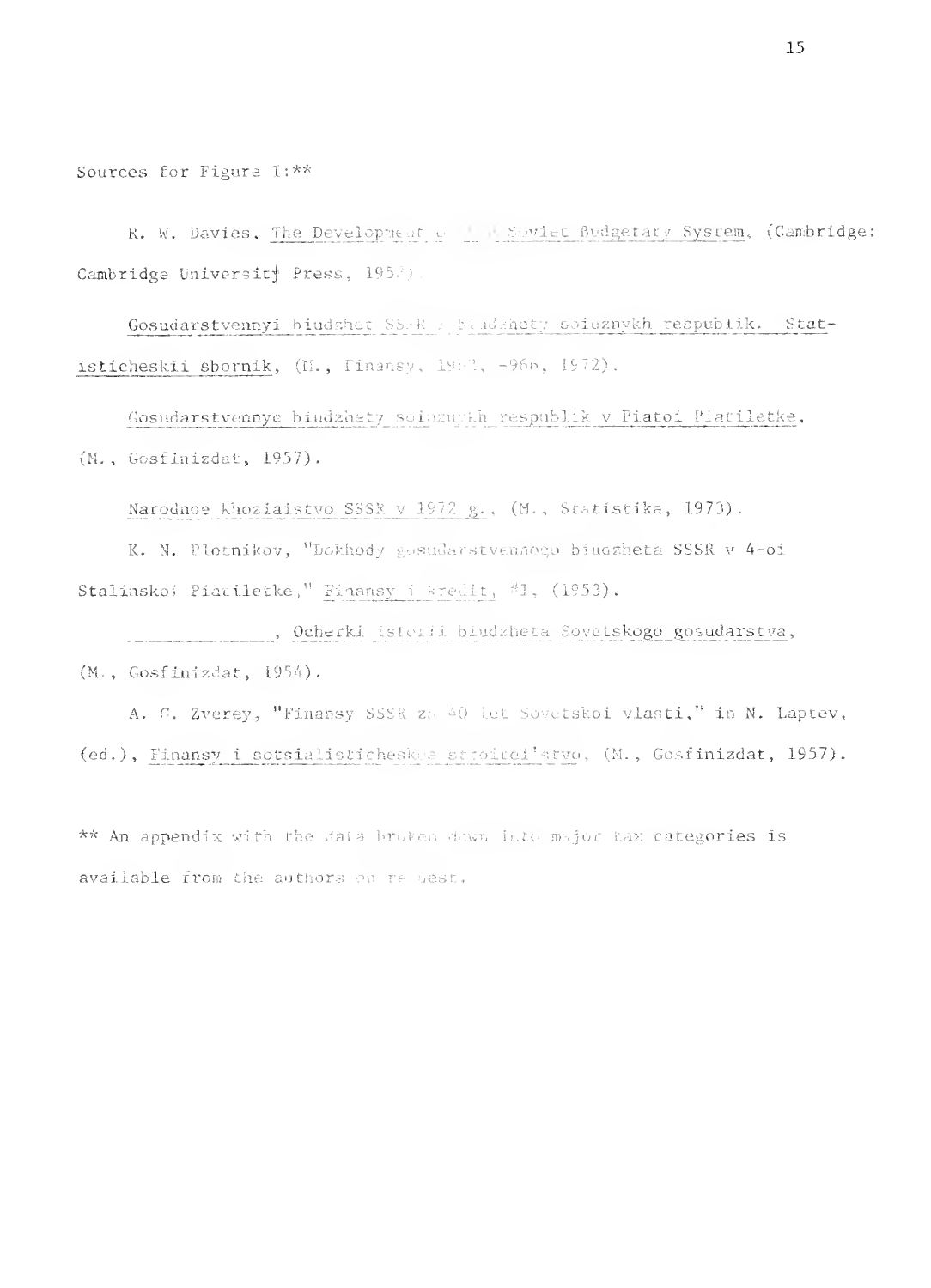Sources for Figure I:\*\*

R. W. Davies, The Development of Lit Soviet Budgetary System, (Cambridge: Cambridge University Press, 1958).

Gosudarstvennyi biudzhet SSAR : biudzhety soiuznykh respublik. Statisticheskii sbornik,  $(H_{\star},$  Finansy,  $1962, -966, 1972)$ .

Gosudars tvennye biudzhet<sup>y</sup> soiuzuykh respublik v Piatoi Piatiletke , (M. , Gosfinizdat, 1957).

Narodnoe khoziaistvo SSSR v 1972 g., (M., Statistika, 1973).

K. N. Plotnikov, "Dokhody gosudarstvennogo biudzheta SSSR v 4-oi Stalinskoi Piaciletke," Finansy i kredit, #1, (1953).

, Ocherki istorii biudzheta Sovetskogo gosudarstva, (M., Gosfinizdat, 1954).

A. G. Zverey, "Finansy SSSR za 40 let Sovetskoi vlasti," in N. Laptev, (ed.), <u>Finansy i sotsialisticheskoe stroirel'atv</u>o. (M., Gosfinizdat, 1957).

\*\* An appendix with the data broken down into major tax categories is available from the authors on request.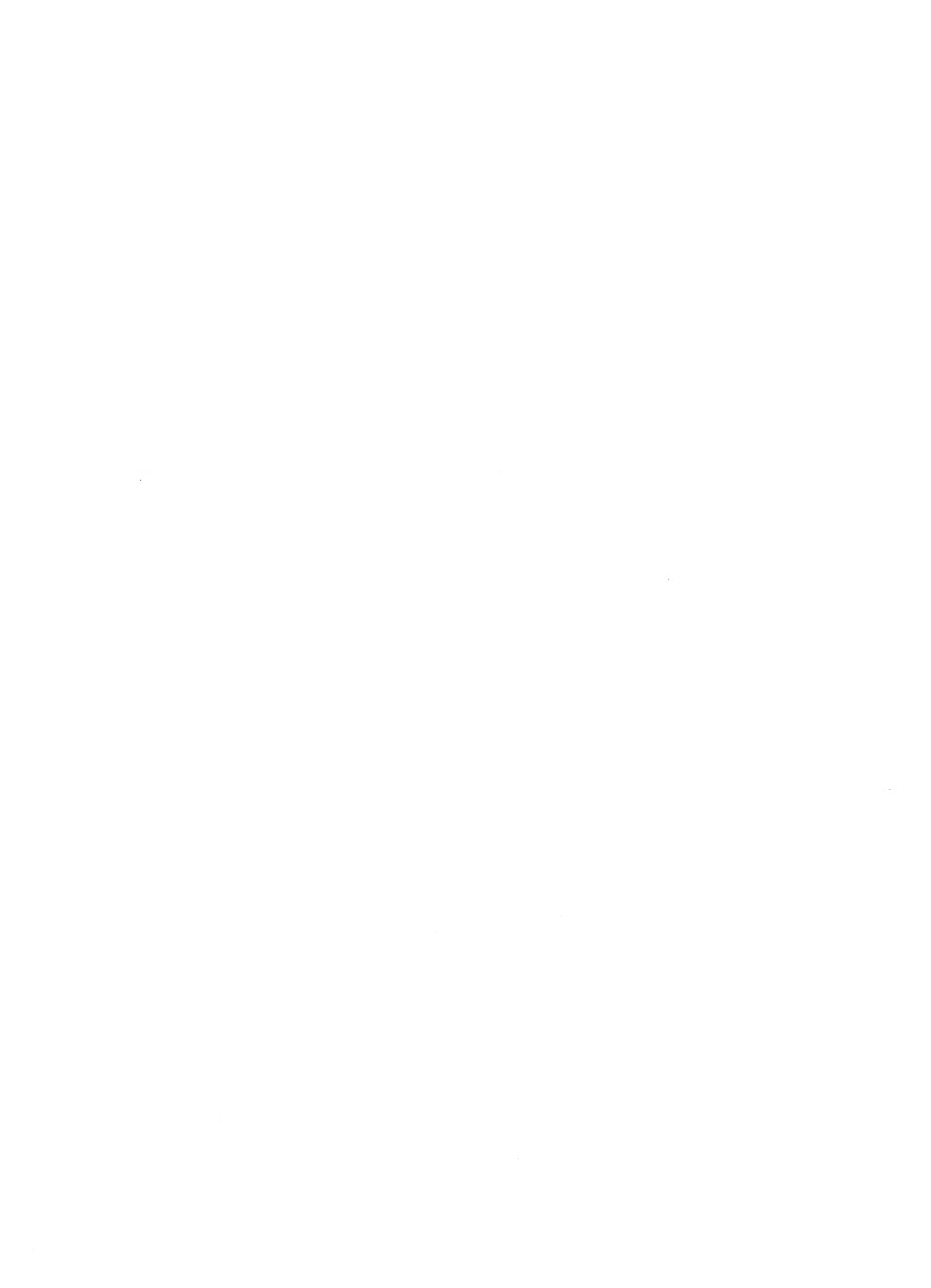$\frac{\partial \mathcal{L}}{\partial \mathcal{L}} = \frac{\partial \mathcal{L}}{\partial \mathcal{L}} = \frac{\partial \mathcal{L}}{\partial \mathcal{L}} = \frac{\partial \mathcal{L}}{\partial \mathcal{L}} = \frac{\partial \mathcal{L}}{\partial \mathcal{L}} = \frac{\partial \mathcal{L}}{\partial \mathcal{L}} = \frac{\partial \mathcal{L}}{\partial \mathcal{L}} = \frac{\partial \mathcal{L}}{\partial \mathcal{L}} = \frac{\partial \mathcal{L}}{\partial \mathcal{L}} = \frac{\partial \mathcal{L}}{\partial \mathcal{L}} = \frac{\partial \mathcal{L}}{\partial \mathcal{L}} = \frac{\partial \mathcal{L}}{\$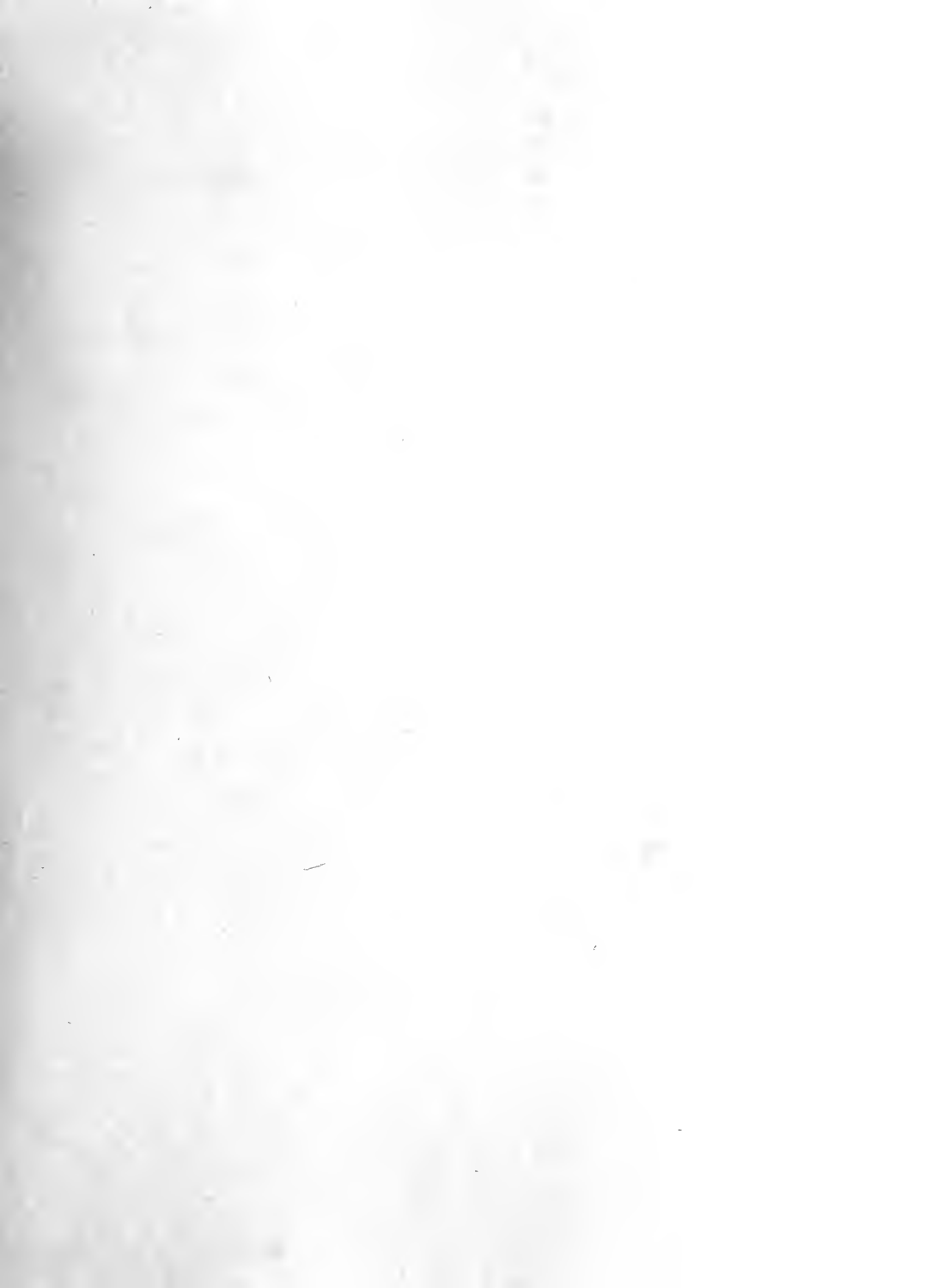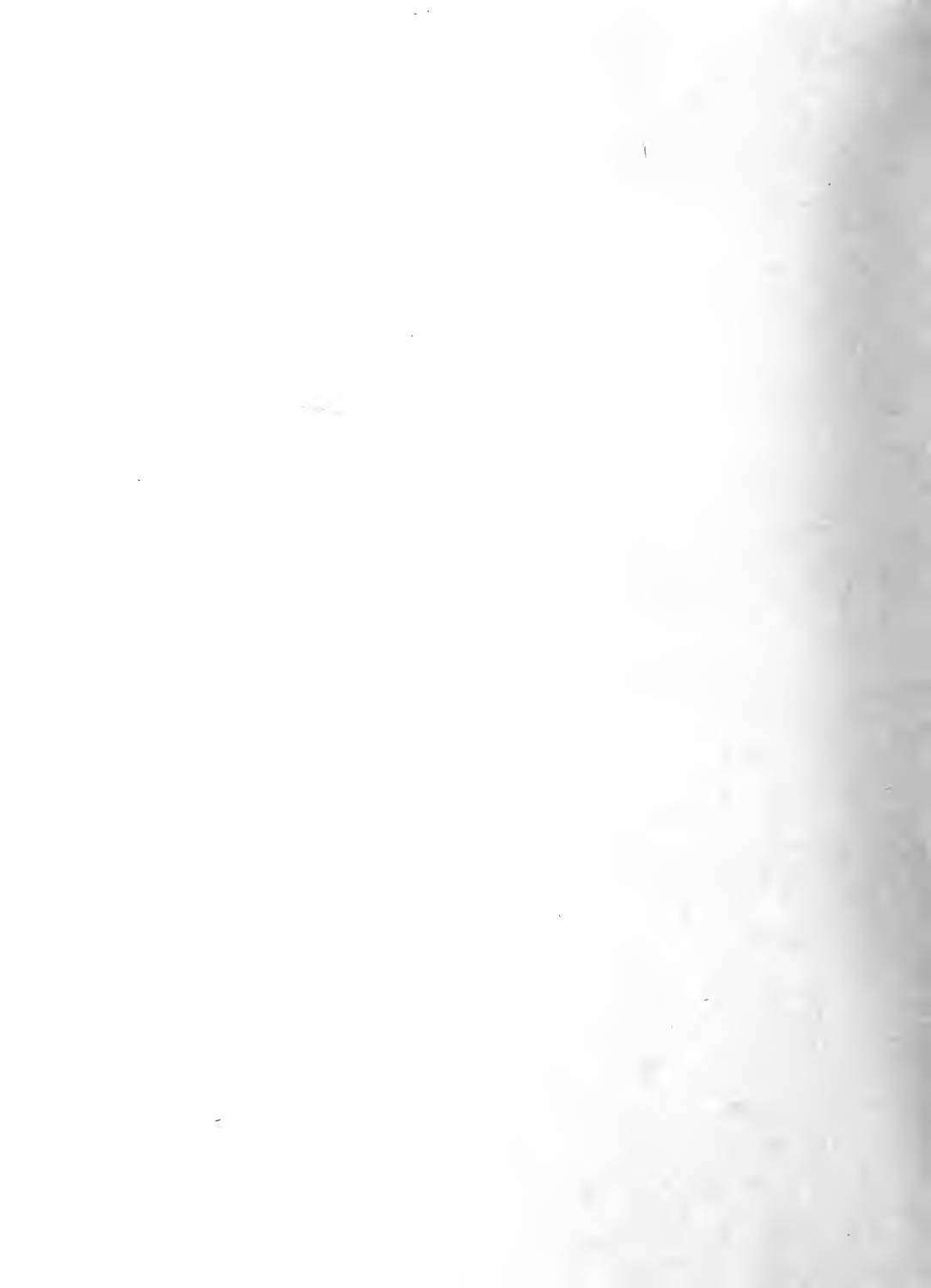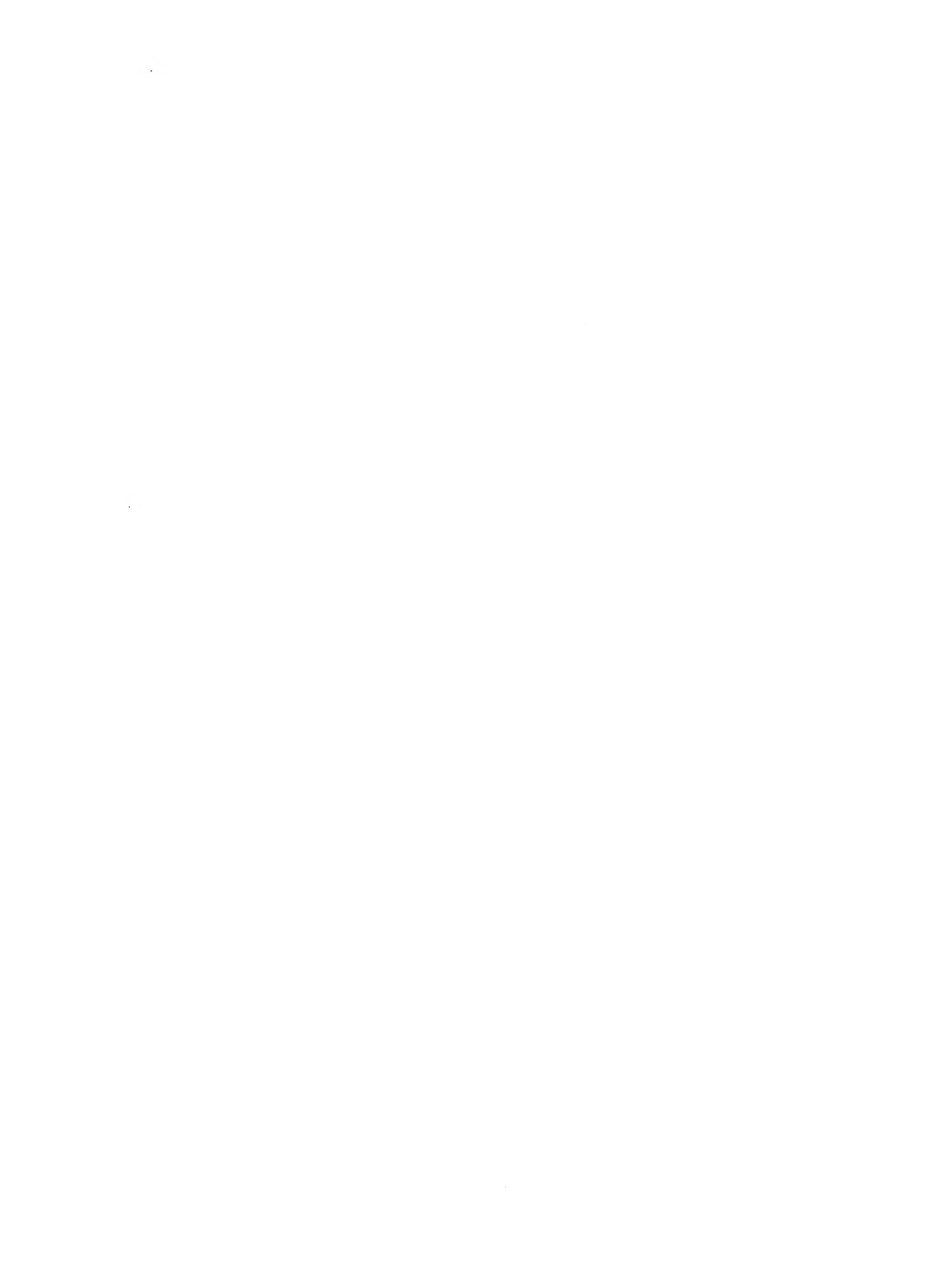$\mathcal{L}^{\text{max}}_{\text{max}}$  and  $\mathcal{L}^{\text{max}}_{\text{max}}$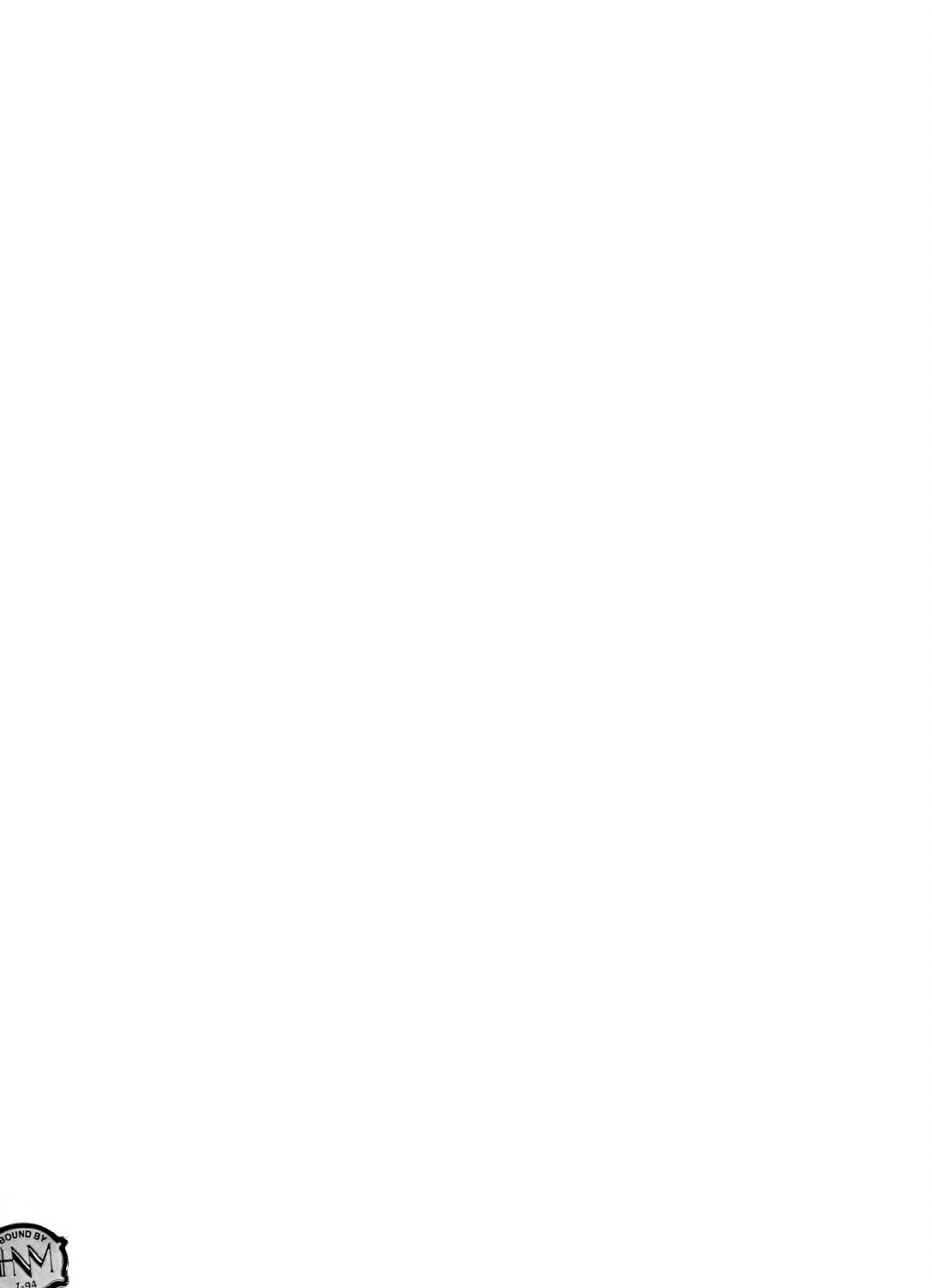